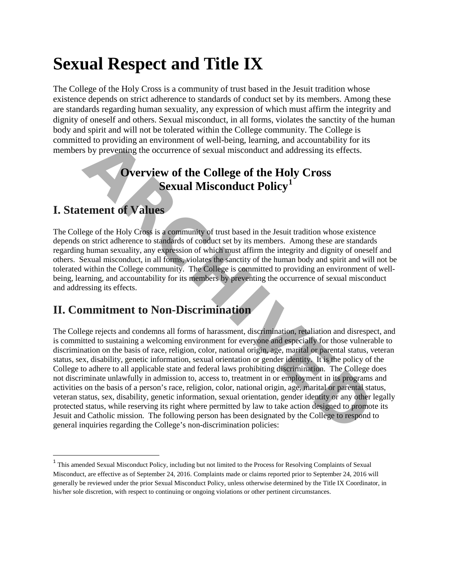# **Sexual Respect and Title IX**

The College of the Holy Cross is a community of trust based in the Jesuit tradition whose existence depends on strict adherence to standards of conduct set by its members. Among these are standards regarding human sexuality, any expression of which must affirm the integrity and dignity of oneself and others. Sexual misconduct, in all forms, violates the sanctity of the human body and spirit and will not be tolerated within the College community. The College is committed to providing an environment of well-being, learning, and accountability for its members by preventing the occurrence of sexual misconduct and addressing its effects.

# **Overview of the College of the Holy Cross Sexual Misconduct Policy<sup>1</sup>**

# **I. Statement of Values**

l

The College of the Holy Cross is a community of trust based in the Jesuit tradition whose existence depends on strict adherence to standards of conduct set by its members. Among these are standards regarding human sexuality, any expression of which must affirm the integrity and dignity of oneself and others. Sexual misconduct, in all forms, violates the sanctity of the human body and spirit and will not be tolerated within the College community. The College is committed to providing an environment of wellbeing, learning, and accountability for its members by preventing the occurrence of sexual misconduct and addressing its effects.

# **II. Commitment to Non-Discrimination**

The College rejects and condemns all forms of harassment, discrimination, retaliation and disrespect, and is committed to sustaining a welcoming environment for everyone and especially for those vulnerable to discrimination on the basis of race, religion, color, national origin, age, marital or parental status, veteran status, sex, disability, genetic information, sexual orientation or gender identity. It is the policy of the College to adhere to all applicable state and federal laws prohibiting discrimination. The College does not discriminate unlawfully in admission to, access to, treatment in or employment in its programs and activities on the basis of a person's race, religion, color, national origin, age, marital or parental status, veteran status, sex, disability, genetic information, sexual orientation, gender identity or any other legally protected status, while reserving its right where permitted by law to take action designed to promote its Jesuit and Catholic mission. The following person has been designated by the College to respond to general inquiries regarding the College's non-discrimination policies: Example and accountability or the **ARCHIT CONDUCT CONDUCT**<br>
A Superventing an environment of well-being, learning, and accountability for its<br>
Superventing the occurrence of sexual misconduct and addressing its effects.<br>

<span id="page-0-0"></span><sup>&</sup>lt;sup>1</sup> This amended Sexual Misconduct Policy, including but not limited to the Process for Resolving Complaints of Sexual Misconduct, are effective as of September 24, 2016. Complaints made or claims reported prior to September 24, 2016 will generally be reviewed under the prior Sexual Misconduct Policy, unless otherwise determined by the Title IX Coordinator, in his/her sole discretion, with respect to continuing or ongoing violations or other pertinent circumstances.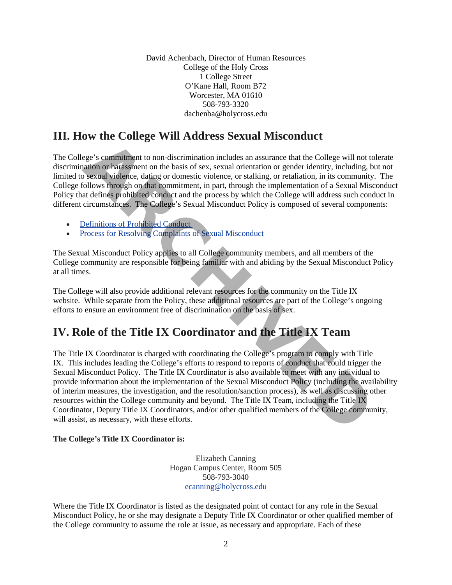David Achenbach, Director of Human Resources College of the Holy Cross 1 College Street O'Kane Hall, Room B72 Worcester, MA 01610 508-793-3320 [dachenba@holycross.edu](mailto:DAchenba@holycross.edu)

# **III. How the College Will Address Sexual Misconduct**

The College's commitment to non-discrimination includes an assurance that the College will not tolerate discrimination or harassment on the basis of sex, sexual orientation or gender identity, including, but not limited to sexual violence, dating or domestic violence, or stalking, or retaliation, in its community. The College follows through on that commitment, in part, through the implementation of a Sexual Misconduct Policy that defines prohibited conduct and the process by which the College will address such conduct in different circumstances. The College's Sexual Misconduct Policy is composed of several components:

- Definitions of Prohibited Conduct
- Process for Resolving Complaints of Sexual Misconduct

The Sexual Misconduct Policy applies to all College community members, and all members of the College community are responsible for being familiar with and abiding by the Sexual Misconduct Policy at all times.

The College will also provide additional relevant resources for the community on the Title IX website. While separate from the Policy, these additional resources are part of the College's ongoing efforts to ensure an environment free of discrimination on the basis of sex.

# **IV. Role of the Title IX Coordinator and the Title IX Team**

The Title IX Coordinator is charged with coordinating the College's program to comply with Title IX[.](http://www.holycross.edu/sexual-respect-and-title-ix/overview#Ft1) This includes leading the College's efforts to respond to reports of conduct that could trigger the Sexual Misconduct Policy. The Title IX Coordinator is also available to meet with any individual to provide information about the implementation of the Sexual Misconduct Policy (including the availability of interim measures, the investigation, and the resolution/sanction process), as well as discussing other resources within the College community and beyond. The Title IX Team, including the Title IX Coordinator, Deputy Title IX Coordinators, and/or other qualified members of the College community, will assist, as necessary, with these efforts. For the [C](http://www.holycross.edu/sexual-respect-and-title-ix/student-policy)ontege VI at Fracta Science in Fracta College will not take<br>the coge is comminent to non-discrimination includes an assumeme that the College will not<br>atation or harassment on the basis of sex, sexual orientation

#### **The College's Title IX Coordinator is:**

Elizabeth Canning Hogan Campus Center, Room 505 508-793-3040 [ecanning@holycross.edu](mailto:ecanning@holycross.edu)

Where the Title IX Coordinator is listed as the designated point of contact for any role in the Sexual Misconduct Policy, he or she may designate a Deputy Title IX Coordinator or other qualified member of the College community to assume the role at issue, as necessary and appropriate. Each of these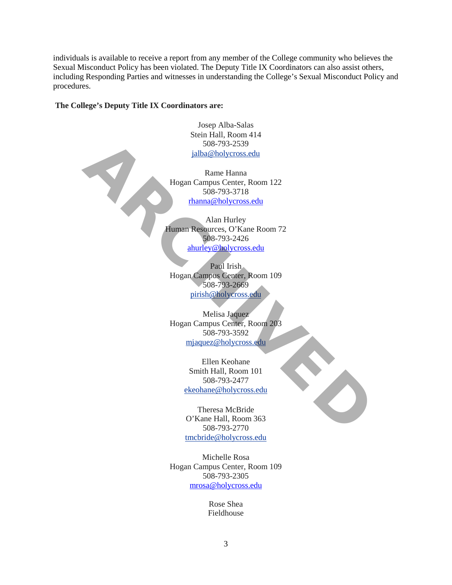individuals is available to receive a report from any member of the College community who believes the Sexual Misconduct Policy has been violated. The Deputy Title IX Coordinators can also assist others, including Responding Parties and witnesses in understanding the College's Sexual Misconduct Policy and procedures.

**The College's Deputy Title IX Coordinators are:**

Josep Alba-Salas Stein Hall, Room 414 508-793-2539 jalba@holycross.edu

Rame Hanna Hogan Campus Center, Room 122 508-793-3718 rhanna@holycross.edu

Alan Hurley Human Resources, O'Kane Room 72 508-793-2426 ahurley@holycross.edu 508-793-2539<br> **ARIONE [C](mailto:ahurley@holycross.edu)ONFINERED ENTERT ARRANGEMENT CONFINERED EXERCISE CONFINING THE MANUSTRY OF SURFACE CONFINERING SURFACE CONFINENCING SURFACE CONFINENCING SURFACE CONFINENCING SURFACE CONFINENCING SURFACE CONFINENCING** 

Paul Irish Hogan Campus Center, Room 109 508-793-2669 pirish@holycross.edu

Melisa Jaquez Hogan Campus Center, Room 203 508-793-3592 mjaquez@holycross.edu

> Ellen Keohane Smith Hall, Room 101 508-793-2477 ekeohane@holycross.edu

Theresa McBride O'Kane Hall, Room 363 508-793-2770 [tmcbride@holycross.edu](mailto:tmcbride@holycross.edu)

Michelle Rosa Hogan Campus Center, Room 109 508-793-2305 [mrosa@holycross.edu](mailto:mrosa@holycross.edu)

> Rose Shea Fieldhouse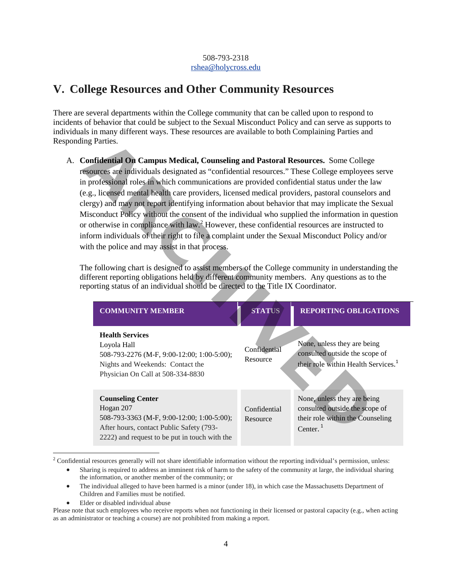#### 508-793-2318 [rshea@holycross.edu](mailto:rshea@holycross.edu)

# **V. College Resources and Other Community Resources**

There are several departments within the College community that can be called upon to respond to incidents of behavior that could be subject to the Sexual Misconduct Policy and can serve as supports to individuals in many different ways. These resources are available to both Complaining Parties and Responding Parties.

| ing Parties.                                                                                                                                                 |                                                                                                                                                                                                                                                                                                                                                                                                                                                                                                                                                                                                                                                                                                                                                                                                                                                                                                                                                                                                                                                                                                   |                                                                                                                  |  |  |  |
|--------------------------------------------------------------------------------------------------------------------------------------------------------------|---------------------------------------------------------------------------------------------------------------------------------------------------------------------------------------------------------------------------------------------------------------------------------------------------------------------------------------------------------------------------------------------------------------------------------------------------------------------------------------------------------------------------------------------------------------------------------------------------------------------------------------------------------------------------------------------------------------------------------------------------------------------------------------------------------------------------------------------------------------------------------------------------------------------------------------------------------------------------------------------------------------------------------------------------------------------------------------------------|------------------------------------------------------------------------------------------------------------------|--|--|--|
| with the police and may assist in that process.                                                                                                              | Confidential On Campus Medical, Counseling and Pastoral Resources. Some College<br>esources are individuals designated as "confidential resources." These College employees serve<br>in professional roles in which communications are provided confidential status under the law<br>e.g., licensed mental health care providers, licensed medical providers, pastoral counselors and<br>lergy) and may not report identifying information about behavior that may implicate the Sexual<br>Misconduct Policy without the consent of the individual who supplied the information in question<br>or otherwise in compliance with law. <sup>2</sup> However, these confidential resources are instructed to<br>nform individuals of their right to file a complaint under the Sexual Misconduct Policy and/or<br>The following chart is designed to assist members of the College community in understanding the<br>lifferent reporting obligations held by different community members. Any questions as to the<br>eporting status of an individual should be directed to the Title IX Coordinator. |                                                                                                                  |  |  |  |
|                                                                                                                                                              |                                                                                                                                                                                                                                                                                                                                                                                                                                                                                                                                                                                                                                                                                                                                                                                                                                                                                                                                                                                                                                                                                                   |                                                                                                                  |  |  |  |
| <b>COMMUNITY MEMBER</b>                                                                                                                                      | <b>STATUS</b>                                                                                                                                                                                                                                                                                                                                                                                                                                                                                                                                                                                                                                                                                                                                                                                                                                                                                                                                                                                                                                                                                     | <b>REPORTING OBLIGATIONS</b>                                                                                     |  |  |  |
| <b>Health Services</b><br>Loyola Hall<br>508-793-2276 (M-F, 9:00-12:00; 1:00-5:00);<br>Nights and Weekends: Contact the<br>Physician On Call at 508-334-8830 | Confidential<br>Resource                                                                                                                                                                                                                                                                                                                                                                                                                                                                                                                                                                                                                                                                                                                                                                                                                                                                                                                                                                                                                                                                          | None, unless they are being<br>consulted outside the scope of<br>their role within Health Services. <sup>1</sup> |  |  |  |

<span id="page-3-0"></span><sup>2</sup> Confidential resources generally will not share identifiable information without the reporting individual's permission, unless:

- Sharing is required to address an imminent risk of harm to the safety of the community at large, the individual sharing the information, or another member of the community; or
- The individual alleged to have been harmed is a minor (under 18), in which case the Massachusetts Department of Children and Families must be notified.
- Elder or disabled individual abuse

l

Please note that such employees who receive reports when not functioning in their licensed or pastoral capacity (e.g., when acting as an administrator or teaching a course) are not prohibited from making a report.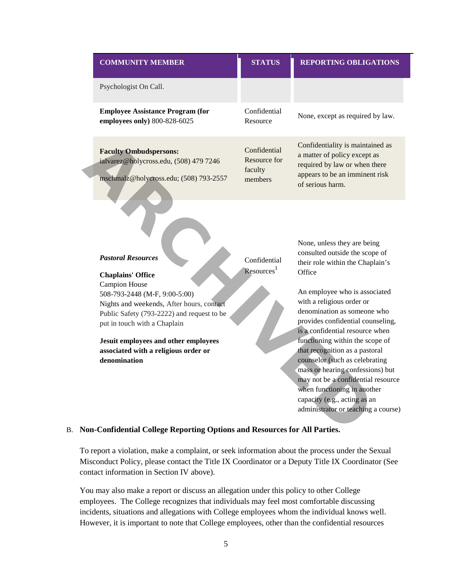| <b>COMMUNITY MEMBER</b>                                                                                                                                                   | <b>STATUS</b>                                      | <b>REPORTING OBLIGATIONS</b>                                                                                                                                                                                                                                                        |
|---------------------------------------------------------------------------------------------------------------------------------------------------------------------------|----------------------------------------------------|-------------------------------------------------------------------------------------------------------------------------------------------------------------------------------------------------------------------------------------------------------------------------------------|
| Psychologist On Call.                                                                                                                                                     |                                                    |                                                                                                                                                                                                                                                                                     |
| <b>Employee Assistance Program (for</b><br>employees only) 800-828-6025                                                                                                   | Confidential<br>Resource                           | None, except as required by law.                                                                                                                                                                                                                                                    |
| <b>Faculty Ombudspersons:</b><br>ialvarez@holycross.edu, (508) 479 7246<br>mschmalz@holycross.edu; (508) 793-2557                                                         | Confidential<br>Resource for<br>faculty<br>members | Confidentiality is maintained as<br>a matter of policy except as<br>required by law or when there<br>appears to be an imminent risk<br>of serious harm.                                                                                                                             |
| <b>Pastoral Resources</b><br><b>Chaplains' Office</b>                                                                                                                     | Confidential<br>Resources <sup>1</sup>             | None, unless they are being<br>consulted outside the scope of<br>their role within the Chaplain's<br>Office                                                                                                                                                                         |
| Campion House<br>508-793-2448 (M-F, 9:00-5:00)<br>Nights and weekends, After hours, contact<br>Public Safety (793-2222) and request to be<br>put in touch with a Chaplain |                                                    | An employee who is associated<br>with a religious order or<br>denomination as someone who<br>provides confidential counseling,<br>is a confidential resource when                                                                                                                   |
| Jesuit employees and other employees<br>associated with a religious order or<br>denomination                                                                              |                                                    | functioning within the scope of<br>that recognition as a pastoral<br>counselor (such as celebrating<br>mass or hearing confessions) but<br>may not be a confidential resource<br>when functioning in another<br>capacity (e.g., acting as an<br>administrator or teaching a course) |

#### B. **Non-Confidential College Reporting Options and Resources for All Parties.**

To report a violation, make a complaint, or seek information about the process under the Sexual Misconduct Policy, please contact the Title IX Coordinator or a Deputy Title IX Coordinator (See contact information in Section IV above).

You may also make a report or discuss an allegation under this policy to other College employees. The College recognizes that individuals may feel most comfortable discussing incidents, situations and allegations with College employees whom the individual knows well. However, it is important to note that College employees, other than the confidential resources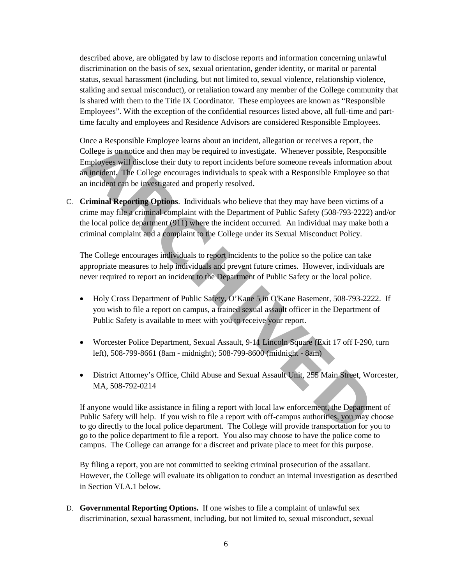described above, are obligated by law to disclose reports and information concerning unlawful discrimination on the basis of sex, sexual orientation, gender identity, or marital or parental status, sexual harassment (including, but not limited to, sexual violence, relationship violence, stalking and sexual misconduct), or retaliation toward any member of the College community that is shared with them to the Title IX Coordinator. These employees are known as "Responsible Employees". With the exception of the confidential resources listed above, all full-time and parttime faculty and employees and Residence Advisors are considered Responsible Employees.

Once a Responsible Employee learns about an incident, allegation or receives a report, the College is on notice and then may be required to investigate. Whenever possible, Responsible Employees will disclose their duty to report incidents before someone reveals information about an incident. The College encourages individuals to speak with a Responsible Employee so that an incident can be investigated and properly resolved. The a Responsible Employee learns about an incident, allegation or receives a report, the<br>College is on notice and then may be required to investigate. Whenever possible, Responsible<br>Employees will disclose their duty to r

C. **Criminal Reporting Options**. Individuals who believe that they may have been victims of a crime may file a criminal complaint with the Department of Public Safety (508-793-2222) and/or the local police department (911) where the incident occurred. An individual may make both a criminal complaint and a complaint to the College under its Sexual Misconduct Policy.

The College encourages individuals to report incidents to the police so the police can take appropriate measures to help individuals and prevent future crimes. However, individuals are never required to report an incident to the Department of Public Safety or the local police.

- Holy Cross Department of Public Safety, O'Kane 5 in O'Kane Basement, 508-793-2222. If you wish to file a report on campus, a trained sexual assault officer in the Department of Public Safety is available to meet with you to receive your report.
- Worcester Police Department, Sexual Assault, 9-11 Lincoln Square (Exit 17 off I-290, turn left), 508-799-8661 (8am - midnight); 508-799-8600 (midnight - 8am)
- District Attorney's Office, Child Abuse and Sexual Assault Unit, 255 Main Street, Worcester, MA, 508-792-0214

If anyone would like assistance in filing a report with local law enforcement, the Department of Public Safety will help. If you wish to file a report with off-campus authorities, you may choose to go directly to the local police department. The College will provide transportation for you to go to the police department to file a report. You also may choose to have the police come to campus. The College can arrange for a discreet and private place to meet for this purpose.

By filing a report, you are not committed to seeking criminal prosecution of the assailant. However, the College will evaluate its obligation to conduct an internal investigation as described in Section VI.A.1 below.

D. **Governmental Reporting Options.** If one wishes to file a complaint of unlawful sex discrimination, sexual harassment, including, but not limited to, sexual misconduct, sexual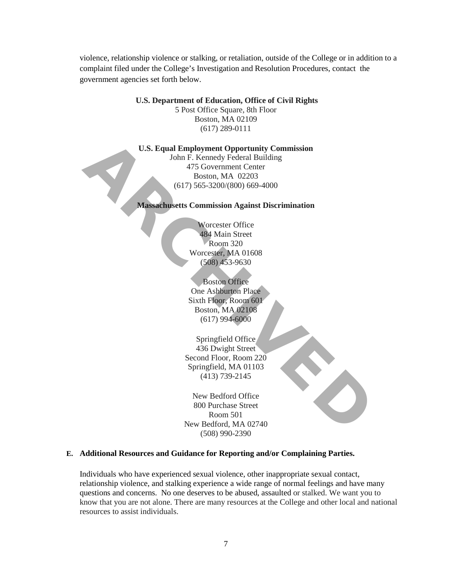violence, relationship violence or stalking, or retaliation, outside of the College or in addition to a complaint filed under the College's Investigation and Resolution Procedures, contact the government agencies set forth below.

**U.S. Department of Education, Office of Civil Rights**

5 Post Office Square, 8th Floor Boston, MA 02109 (617) 289-0111

**U.S. Equal Employment Opportunity Commission**

John F. Kennedy Federal Building 475 Government Center Boston, MA 02203 (617) 565-3200/(800) 669-4000 **L.S. Equal Employment Opportunity Commission**<br>
John F. Kennety Feeleral Building<br>
475 Government Center<br>
Boston, MA 02203<br>
(617) 565-3200/(800) 669-4000<br> **Massachusetts Commission Against Discrimination**<br>
Worcester Office

**Massachusetts Commission Against Discrimination**

Worcester Office 484 Main Street Room 320 Worcester, MA 01608 (508) 453-9630

Boston Office One Ashburton Place Sixth Floor, Room 601 Boston, MA 02108 (617) 994-6000

Springfield Office 436 Dwight Street Second Floor, Room 220 Springfield, MA 01103 (413) 739-2145

New Bedford Office 800 Purchase Street Room 501 New Bedford, MA 02740 (508) 990-2390

#### **E. Additional Resources and Guidance for Reporting and/or Complaining Parties.**

Individuals who have experienced sexual violence, other inappropriate sexual contact, relationship violence, and stalking experience a wide range of normal feelings and have many questions and concerns. No one deserves to be abused, assaulted or stalked. We want you to know that you are not alone. There are many resources at the College and other local and national resources to assist individuals.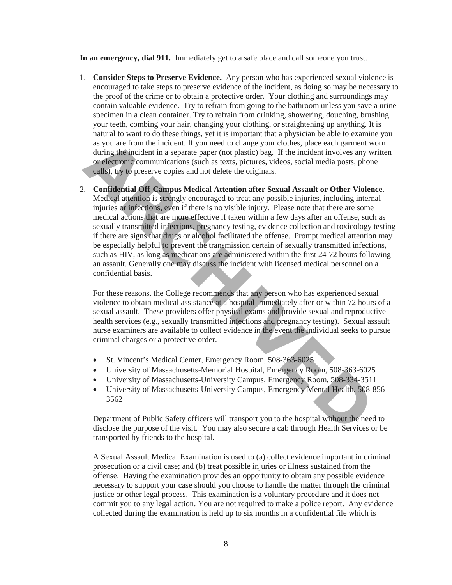**In an emergency, dial 911.** Immediately get to a safe place and call someone you trust.

- 1. **Consider Steps to Preserve Evidence.** Any person who has experienced sexual violence is encouraged to take steps to preserve evidence of the incident, as doing so may be necessary to the proof of the crime or to obtain a protective order. Your clothing and surroundings may contain valuable evidence. Try to refrain from going to the bathroom unless you save a urine specimen in a clean container. Try to refrain from drinking, showering, douching, brushing your teeth, combing your hair, changing your clothing, or straightening up anything. It is natural to want to do these things, yet it is important that a physician be able to examine you as you are from the incident. If you need to change your clothes, place each garment worn during the incident in a separate paper (not plastic) bag. If the incident involves any written or electronic communications (such as texts, pictures, videos, social media posts, phone calls), try to preserve copies and not delete the originals.
- 2. **Confidential Off-Campus Medical Attention after Sexual Assault or Other Violence.**  Medical attention is strongly encouraged to treat any possible injuries, including internal injuries or infections, even if there is no visible injury. Please note that there are some medical actions that are more effective if taken within a few days after an offense, such as sexually transmitted infections, pregnancy testing, evidence collection and toxicology testing if there are signs that drugs or alcohol facilitated the offense. Prompt medical attention may be especially helpful to prevent the transmission certain of sexually transmitted infections, such as HIV, as long as medications are administered within the first 24-72 hours following an assault. Generally one may discuss the incident with licensed medical personnel on a confidential basis. as you are from the incident. If you need to change your clothes, place each garment variate and the incident in a separate paper (not plastic) bg. If the incident involves any detailed in the incident involves any detaile

For these reasons, the College recommends that any person who has experienced sexual violence to obtain medical assistance at a hospital immediately after or within 72 hours of a sexual assault. These providers offer physical exams and provide sexual and reproductive health services (e.g., sexually transmitted infections and pregnancy testing). Sexual assault nurse examiners are available to collect evidence in the event the individual seeks to pursue criminal charges or a protective order.

- St. Vincent's Medical Center, Emergency Room, 508-363-6025
- University of Massachusetts-Memorial Hospital, Emergency Room, 508-363-6025
- University of Massachusetts-University Campus, Emergency Room, 508-334-3511
- University of Massachusetts-University Campus, Emergency Mental Health, 508-856- 3562

Department of Public Safety officers will transport you to the hospital without the need to disclose the purpose of the visit. You may also secure a cab through Health Services or be transported by friends to the hospital.

A Sexual Assault Medical Examination is used to (a) collect evidence important in criminal prosecution or a civil case; and (b) treat possible injuries or illness sustained from the offense. Having the examination provides an opportunity to obtain any possible evidence necessary to support your case should you choose to handle the matter through the criminal justice or other legal process. This examination is a voluntary procedure and it does not commit you to any legal action. You are not required to make a police report. Any evidence collected during the examination is held up to six months in a confidential file which is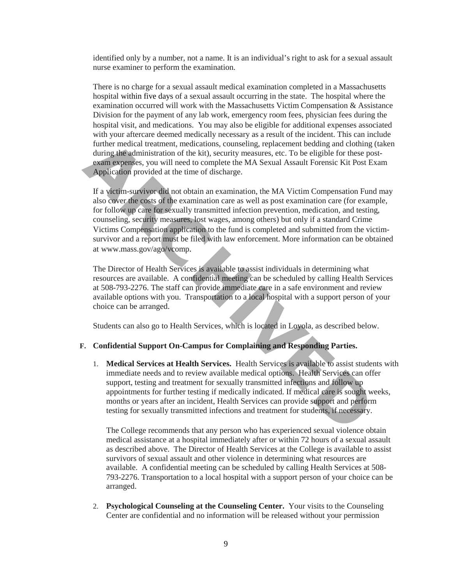identified only by a number, not a name. It is an individual's right to ask for a sexual assault nurse examiner to perform the examination.

There is no charge for a sexual assault medical examination completed in a Massachusetts hospital within five days of a sexual assault occurring in the state. The hospital where the examination occurred will work with the Massachusetts Victim Compensation & Assistance Division for the payment of any lab work, emergency room fees, physician fees during the hospital visit, and medications. You may also be eligible for additional expenses associated with your aftercare deemed medically necessary as a result of the incident. This can include further medical treatment, medications, counseling, replacement bedding and clothing (taken during the administration of the kit), security measures, etc. To be eligible for these postexam expenses, you will need to complete the MA Sexual Assault Forensic Kit Post Exam Application provided at the time of discharge.

If a victim-survivor did not obtain an examination, the MA Victim Compensation Fund may also cover the costs of the examination care as well as post examination care (for example, for follow up care for sexually transmitted infection prevention, medication, and testing, counseling, security measures, lost wages, among others) but only if a standard Crime Victims Compensation application to the fund is completed and submitted from the victimsurvivor and a report must be filed with law enforcement. More information can be obtained at www.mass.gov/ago/vcomp. further medical treatment, medications, counseling, replacement bedding and clothing<br>during the administration of the kit), security measures, etc. To be eligible for these p<br>exam expenses, you will need to complete the MA

The Director of Health Services is available to assist individuals in determining what resources are available. A confidential meeting can be scheduled by calling Health Services at 508-793-2276. The staff can provide immediate care in a safe environment and review available options with you. Transportation to a local hospital with a support person of your choice can be arranged.

Students can also go to Health Services, which is located in Loyola, as described below.

### **F. Confidential Support On-Campus for Complaining and Responding Parties.**

1. **Medical Services at Health Services.** Health Services is available to assist students with immediate needs and to review available medical options. Health Services can offer support, testing and treatment for sexually transmitted infections and follow up appointments for further testing if medically indicated. If medical care is sought weeks, months or years after an incident, Health Services can provide support and perform testing for sexually transmitted infections and treatment for students, if necessary.

The College recommends that any person who has experienced sexual violence obtain medical assistance at a hospital immediately after or within 72 hours of a sexual assault as described above. The Director of Health Services at the College is available to assist survivors of sexual assault and other violence in determining what resources are available. A confidential meeting can be scheduled by calling Health Services at 508- 793-2276. Transportation to a local hospital with a support person of your choice can be arranged.

2. **Psychological Counseling at the Counseling Center.** Your visits to the Counseling Center are confidential and no information will be released without your permission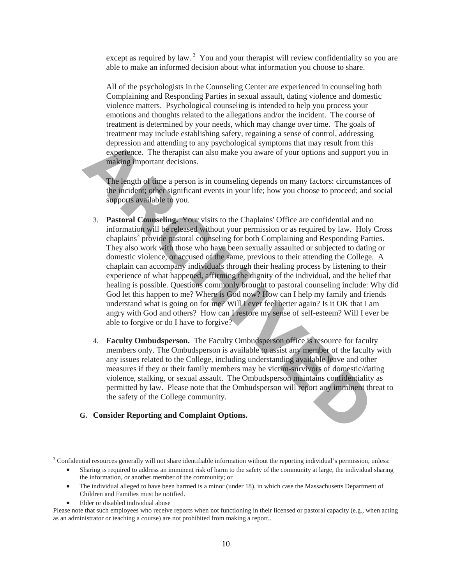except as required by law.<sup>[3](#page-9-0)</sup> You and your therapist will review confidentiality so you are able to make an informed decision about what information you choose to share.

All of the psychologists in the Counseling Center are experienced in counseling both Complaining and Responding Parties in sexual assault, dating violence and domestic violence matters. Psychological counseling is intended to help you process your emotions and thoughts related to the allegations and/or the incident. The course of treatment is determined by your needs, which may change over time. The goals of treatment may include establishing safety, regaining a sense of control, addressing depression and attending to any psychological symptoms that may result from this experience. The therapist can also make you aware of your options and support you in making important decisions.

The length of time a person is in counseling depends on many factors: circumstances of the incident; other significant events in your life; how you choose to proceed; and social supports available to you.

- 3. **Pastoral Counseling.** Your visits to the Chaplains' Office are confidential and no information will be released without your permission or as required by law. Holy Cross chaplains<sup>3</sup> provide pastoral counseling for both Complaining and Responding Parties. They also work with those who have been sexually assaulted or subjected to dating or domestic violence, or accused of the same, previous to their attending the College. A chaplain can accompany individuals through their healing process by listening to their experience of what happened, affirming the dignity of the individual, and the belief that healing is possible. Questions commonly brought to pastoral counseling include: Why did God let this happen to me? Where is God now? How can I help my family and friends understand what is going on for me? Will I ever feel better again? Is it OK that I am angry with God and others? How can I restore my sense of self-esteem? Will I ever be able to forgive or do I have to forgive? depression and attending to any psychological symptoms that may result from this<br>experience. The therapist can also make you aware of your options and support y<br>making important decisions.<br>The length of time a person is in
	- 4. **Faculty Ombudsperson.** The Faculty Ombudsperson office is resource for faculty members only. The Ombudsperson is available to assist any member of the faculty with any issues related to the College, including understanding available leave and other measures if they or their family members may be victim-survivors of domestic/dating violence, stalking, or sexual assault. The Ombudsperson maintains confidentiality as permitted by law. Please note that the Ombudsperson will report any imminent threat to the safety of the College community.

#### **G. Consider Reporting and Complaint Options.**

- The individual alleged to have been harmed is a minor (under 18), in which case the Massachusetts Department of Children and Families must be notified.
- Elder or disabled individual abuse

l

<span id="page-9-0"></span><sup>&</sup>lt;sup>3</sup> Confidential resources generally will not share identifiable information without the reporting individual's permission, unless:

<sup>•</sup> Sharing is required to address an imminent risk of harm to the safety of the community at large, the individual sharing the information, or another member of the community; or

Please note that such employees who receive reports when not functioning in their licensed or pastoral capacity (e.g., when acting as an administrator or teaching a course) are not prohibited from making a report..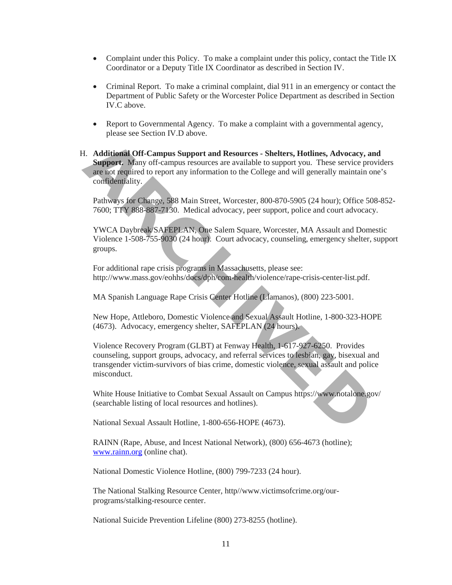- Complaint under this Policy. To make a complaint under this policy, contact the Title IX Coordinator or a Deputy Title IX Coordinator as described in Section IV.
- Criminal Report. To make a criminal complaint, dial 911 in an emergency or contact the Department of Public Safety or the Worcester Police Department as described in Section IV.C above.
- Report to Governmental Agency. To make a complaint with a governmental agency, please see Section IV.D above.
- H. **Additional Off-Campus Support and Resources Shelters, Hotlines, Advocacy, and**  Support. Many off-campus resources are available to support you. These service providers are not required to report any information to the College and will generally maintain one's confidentiality. **A. Additional Off-Campus Support and Resources - Shelters, Hotlines, Advocacy, Support. Many off-campus resources are available to support you. These service preach required to report any information to the College and wi**

Pathways for Change, 588 Main Street, Worcester, 800-870-5905 (24 hour); Office 508-852- 7600; TTY 888-887-7130. Medical advocacy, peer support, police and court advocacy.

YWCA Daybreak/SAFEPLAN, One Salem Square, Worcester, MA Assault and Domestic Violence 1-508-755-9030 (24 hour). Court advocacy, counseling, emergency shelter, support groups.

For additional rape crisis programs in Massachusetts, please see: http://www.mass.gov/eohhs/docs/dph/com-health/violence/rape-crisis-center-list.pdf.

MA Spanish Language Rape Crisis Center Hotline (Llamanos), (800) 223-5001.

New Hope, Attleboro, Domestic Violence and Sexual Assault Hotline, 1-800-323-HOPE (4673). Advocacy, emergency shelter, SAFEPLAN (24 hours).

Violence Recovery Program (GLBT) at Fenway Health, 1-617-927-6250. Provides counseling, support groups, advocacy, and referral services to lesbian, gay, bisexual and transgender victim-survivors of bias crime, domestic violence, sexual assault and police misconduct.

White House Initiative to Combat Sexual Assault on Campus https://www.notalone.gov/ (searchable listing of local resources and hotlines).

National Sexual Assault Hotline, 1-800-656-HOPE (4673).

RAINN (Rape, Abuse, and Incest National Network), (800) 656-4673 (hotline); [www.rainn.org](http://www.rainn.org/) (online chat).

National Domestic Violence Hotline, (800) 799-7233 (24 hour).

The National Stalking Resource Center, http//www.victimsofcrime.org/ourprograms/stalking-resource center.

National Suicide Prevention Lifeline (800) 273-8255 (hotline).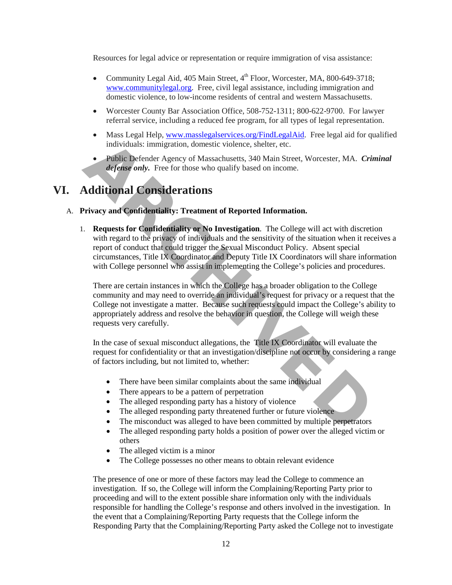Resources for legal advice or representation or require immigration of visa assistance:

- Community Legal Aid,  $405$  Main Street,  $4<sup>th</sup>$  Floor, Worcester, MA,  $800-649-3718$ ; [www.communitylegal.org.](http://www.communitylegal.org/) Free, civil legal assistance, including immigration and domestic violence, to low-income residents of central and western Massachusetts.
- Worcester County Bar Association Office, 508-752-1311; 800-622-9700. For lawyer referral service, including a reduced fee program, for all types of legal representation.
- Mass Legal Help[, www.masslegalservices.org/FindLegalAid.](http://www.masslegalservices.org/FindLegalAid) Free legal aid for qualified individuals: immigration, domestic violence, shelter, etc.
- Public Defender Agency of Massachusetts, 340 Main Street, Worcester, MA. *Criminal defense only.* Free for those who qualify based on income.

# **VI. Additional Considerations**

#### A. **Privacy and Confidentiality: Treatment of Reported Information.**

1. **Requests for Confidentiality or No Investigation**. The College will act with discretion with regard to the privacy of individuals and the sensitivity of the situation when it receives a report of conduct that could trigger the Sexual Misconduct Policy. Absent special circumstances, Title IX Coordinator and Deputy Title IX Coordinators will share information with College personnel who assist in implementing the College's policies and procedures. individuals: immigration, domestic violence, shelter, etc.<br> **ARCHIVED** Defender Agency of Massachusetts, 340 Main Street, Worcester, MA. Crace the comptetive endy. Free for those who qualify based on income.<br> **Additional C** 

There are certain instances in which the College has a broader obligation to the College community and may need to override an individual's request for privacy or a request that the College not investigate a matter. Because such requests could impact the College's ability to appropriately address and resolve the behavior in question, the College will weigh these requests very carefully.

In the case of sexual misconduct allegations, the Title IX Coordinator will evaluate the request for confidentiality or that an investigation/discipline not occur by considering a range of factors including, but not limited to, whether:

- There have been similar complaints about the same individual
- There appears to be a pattern of perpetration
- The alleged responding party has a history of violence
- The alleged responding party threatened further or future violence
- The misconduct was alleged to have been committed by multiple perpetrators
- The alleged responding party holds a position of power over the alleged victim or others
- The alleged victim is a minor
- The College possesses no other means to obtain relevant evidence

The presence of one or more of these factors may lead the College to commence an investigation. If so, the College will inform the Complaining/Reporting Party prior to proceeding and will to the extent possible share information only with the individuals responsible for handling the College's response and others involved in the investigation. In the event that a Complaining/Reporting Party requests that the College inform the Responding Party that the Complaining/Reporting Party asked the College not to investigate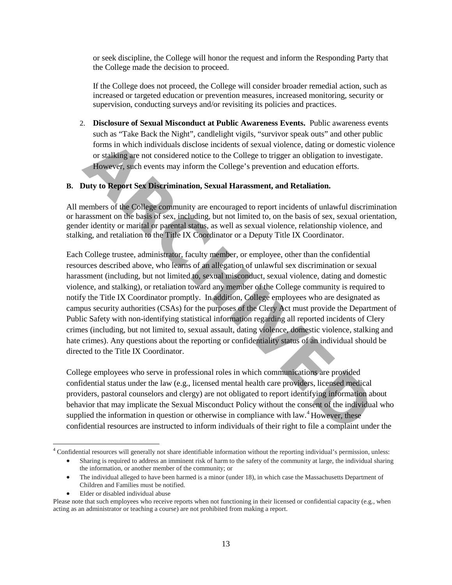or seek discipline, the College will honor the request and inform the Responding Party that the College made the decision to proceed.

If the College does not proceed, the College will consider broader remedial action, such as increased or targeted education or prevention measures, increased monitoring, security or supervision, conducting surveys and/or revisiting its policies and practices.

2. **Disclosure of Sexual Misconduct at Public Awareness Events.** Public awareness events such as "Take Back the Night", candlelight vigils, "survivor speak outs" and other public forms in which individuals disclose incidents of sexual violence, dating or domestic violence or stalking are not considered notice to the College to trigger an obligation to investigate. However, such events may inform the College's prevention and education efforts.

#### **B. Duty to Report Sex Discrimination, Sexual Harassment, and Retaliation.**

All members of the College community are encouraged to report incidents of unlawful discrimination or harassment on the basis of sex, including, but not limited to, on the basis of sex, sexual orientation, gender identity or marital or parental status, as well as sexual violence, relationship violence, and stalking, and retaliation to the Title IX Coordinator or a Deputy Title IX Coordinator.

Each College trustee, administrator, faculty member, or employee, other than the confidential resources described above, who learns of an allegation of unlawful sex discrimination or sexual harassment (including, but not limited to, sexual misconduct, sexual violence, dating and domestic violence, and stalking), or retaliation toward any member of the College community is required to notify the Title IX Coordinator promptly. In addition, College employees who are designated as campus security authorities (CSAs) for the purposes of the Clery Act must provide the Department of Public Safety with non-identifying statistical information regarding all reported incidents of Clery crimes (including, but not limited to, sexual assault, dating violence, domestic violence, stalking and hate crimes). Any questions about the reporting or confidentiality status of an individual should be directed to the Title IX Coordinator. forms in which individuals disclose incidents of sexual violence, dating or domestic or stalking are not considered notice to the College to trigger an obligation to investige However, such events may inform the College's

College employees who serve in professional roles in which communications are provided confidential status under the law (e.g., licensed mental health care providers, licensed medical providers, pastoral counselors and clergy) are not obligated to report identifying information about behavior that may implicate the Sexual Misconduct Policy without the consent of the individual who supplied the information in question or otherwise in compliance with law.<sup>4</sup> However, these confidential resources are instructed to inform individuals of their right to file a complaint under the

• Elder or disabled individual abuse

<span id="page-12-0"></span>l <sup>4</sup> Confidential resources will generally not share identifiable information without the reporting individual's permission, unless:

<sup>•</sup> Sharing is required to address an imminent risk of harm to the safety of the community at large, the individual sharing the information, or another member of the community; or

<sup>•</sup> The individual alleged to have been harmed is a minor (under 18), in which case the Massachusetts Department of Children and Families must be notified.

Please note that such employees who receive reports when not functioning in their licensed or confidential capacity (e.g., when acting as an administrator or teaching a course) are not prohibited from making a report.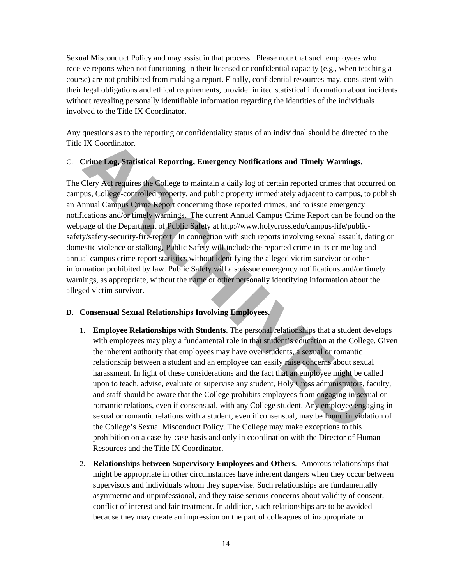Sexual Misconduct Policy and may assist in that process. Please note that such employees who receive reports when not functioning in their licensed or confidential capacity (e.g., when teaching a course) are not prohibited from making a report. Finally, confidential resources may, consistent with their legal obligations and ethical requirements, provide limited statistical information about incidents without revealing personally identifiable information regarding the identities of the individuals involved to the Title IX Coordinator.

Any questions as to the reporting or confidentiality status of an individual should be directed to the Title IX Coordinator.

# C. **Crime Log, Statistical Reporting, Emergency Notifications and Timely Warnings**.

The Clery Act requires the College to maintain a daily log of certain reported crimes that occurred on campus, College-controlled property, and public property immediately adjacent to campus, to publish an Annual Campus Crime Report concerning those reported crimes, and to issue emergency notifications and/or timely warnings. The current Annual Campus Crime Report can be found on the webpage of the Department of Public Safety at http://www.holycross.edu/campus-life/publicsafety/safety-security-fire-report. In connection with such reports involving sexual assault, dating or domestic violence or stalking, Public Safety will include the reported crime in its crime log and annual campus crime report statistics without identifying the alleged victim-survivor or other information prohibited by law. Public Safety will also issue emergency notifications and/or timely warnings, as appropriate, without the name or other personally identifying information about the alleged victim-survivor. IX Coordinator.<br>
Crime Log, Statistical Reporting, Emergency Notifications and Timely Warnings.<br>
Clery Act requires the College to maintain a daily log of certain reported crimes that occurs, College-controlled property, a

#### **D. Consensual Sexual Relationships Involving Employees.**

- 1. **Employee Relationships with Students**. The personal relationships that a student develops with employees may play a fundamental role in that student's education at the College. Given the inherent authority that employees may have over students, a sexual or romantic relationship between a student and an employee can easily raise concerns about sexual harassment. In light of these considerations and the fact that an employee might be called upon to teach, advise, evaluate or supervise any student, Holy Cross administrators, faculty, and staff should be aware that the College prohibits employees from engaging in sexual or romantic relations, even if consensual, with any College student. Any employee engaging in sexual or romantic relations with a student, even if consensual, may be found in violation of the College's Sexual Misconduct Policy. The College may make exceptions to this prohibition on a case-by-case basis and only in coordination with the Director of Human Resources and the Title IX Coordinator.
- 2. **Relationships between Supervisory Employees and Others**. Amorous relationships that might be appropriate in other circumstances have inherent dangers when they occur between supervisors and individuals whom they supervise. Such relationships are fundamentally asymmetric and unprofessional, and they raise serious concerns about validity of consent, conflict of interest and fair treatment. In addition, such relationships are to be avoided because they may create an impression on the part of colleagues of inappropriate or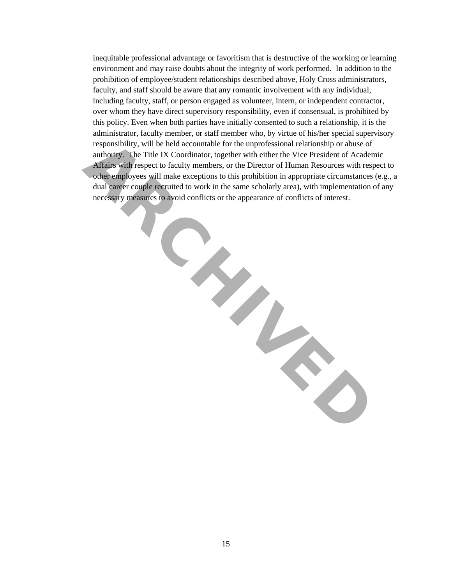inequitable professional advantage or favoritism that is destructive of the working or learning environment and may raise doubts about the integrity of work performed. In addition to the prohibition of employee/student relationships described above, Holy Cross administrators, faculty, and staff should be aware that any romantic involvement with any individual, including faculty, staff, or person engaged as volunteer, intern, or independent contractor, over whom they have direct supervisory responsibility, even if consensual, is prohibited by this policy. Even when both parties have initially consented to such a relationship, it is the administrator, faculty member, or staff member who, by virtue of his/her special supervisory responsibility, will be held accountable for the unprofessional relationship or abuse of authority. The Title IX Coordinator, together with either the Vice President of Academic Affairs with respect to faculty members, or the Director of Human Resources with respect to other employees will make exceptions to this prohibition in appropriate circumstances (e.g., a dual career couple recruited to work in the same scholarly area), with implementation of any necessary measures to avoid conflicts or the appearance of conflicts of interest. responsibility, will be held accountable for the unprofessional relationship or abuse of acceleration (regenter with either the Vice President of Academy Artans with respect to faculty members, or the Director of Human Res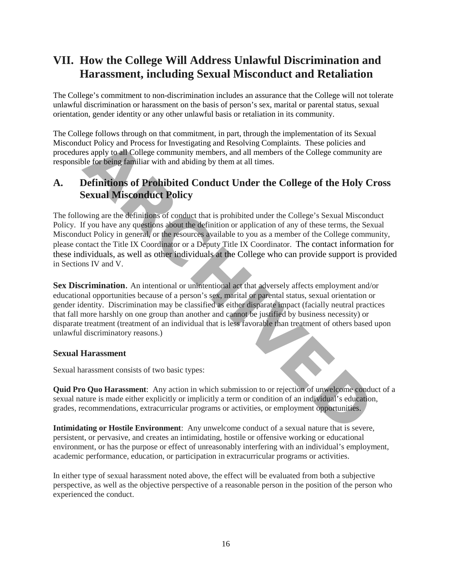# **VII. How the College Will Address Unlawful Discrimination and Harassment, including Sexual Misconduct and Retaliation**

The College's commitment to non-discrimination includes an assurance that the College will not tolerate unlawful discrimination or harassment on the basis of person's sex, marital or parental status, sexual orientation, gender identity or any other unlawful basis or retaliation in its community.

The College follows through on that commitment, in part, through the implementation of its Sexual Misconduct Policy and Process for Investigating and Resolving Complaints. These policies and procedures apply to all College community members, and all members of the College community are responsible for being familiar with and abiding by them at all times.

# **A. Definitions of Prohibited Conduct Under the College of the Holy Cross Sexual Misconduct Policy**

The following are the definitions of conduct that is prohibited under the College's Sexual Misconduct Policy. If you have any questions about the definition or application of any of these terms, the Sexual Misconduct Policy in general, or the resources available to you as a member of the College community, please contact the Title IX Coordinator or a Deputy Title IX Coordinator. [The contact information for](http://www.holycross.edu/sexual-respect-and-title-ix/overview)  [these individuals, as well as other individuals at the College who can provide support is provided](http://www.holycross.edu/sexual-respect-and-title-ix/overview) in Sections IV and V. the Policy and Process for Investigating and Resolving Complaints. These policies and<br>
as apply to all College community members, and all members and an members of the College community<br>
Definitions of Prohibited Conduct U

**Sex Discrimination**. An intentional or unintentional act that adversely affects employment and/or educational opportunities because of a person's sex, marital or parental status, sexual orientation or gender identity. Discrimination may be classified as either disparate impact (facially neutral practices that fall more harshly on one group than another and cannot be justified by business necessity) or disparate treatment (treatment of an individual that is less favorable than treatment of others based upon unlawful discriminatory reasons.)

# **Sexual Harassment**

Sexual harassment consists of two basic types:

**Quid Pro Quo Harassment**: Any action in which submission to or rejection of unwelcome conduct of a sexual nature is made either explicitly or implicitly a term or condition of an individual's education, grades, recommendations, extracurricular programs or activities, or employment opportunities.

**Intimidating or Hostile Environment**: Any unwelcome conduct of a sexual nature that is severe, persistent, or pervasive, and creates an intimidating, hostile or offensive working or educational environment, or has the purpose or effect of unreasonably interfering with an individual's employment, academic performance, education, or participation in extracurricular programs or activities.

In either type of sexual harassment noted above, the effect will be evaluated from both a subjective perspective, as well as the objective perspective of a reasonable person in the position of the person who experienced the conduct.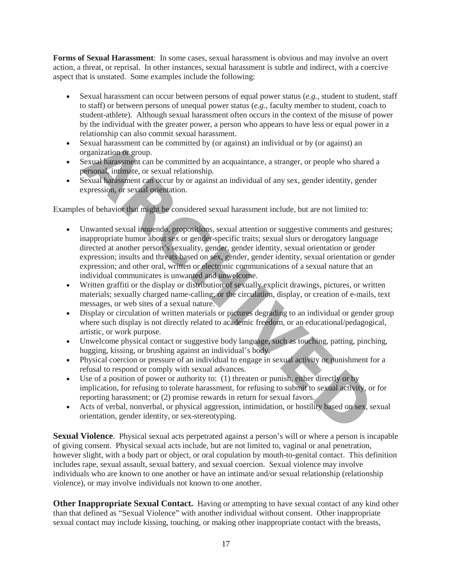**Forms of Sexual Harassment**: In some cases, sexual harassment is obvious and may involve an overt action, a threat, or reprisal. In other instances, sexual harassment is subtle and indirect, with a coercive aspect that is unstated. Some examples include the following:

- Sexual harassment can occur between persons of equal power status (*e.g.*, student to student, staff to staff) or between persons of unequal power status (*e.g.*, faculty member to student, coach to student-athlete). Although sexual harassment often occurs in the context of the misuse of power by the individual with the greater power, a person who appears to have less or equal power in a relationship can also commit sexual harassment.
- Sexual harassment can be committed by (or against) an individual or by (or against) an organization or group.
- Sexual harassment can be committed by an acquaintance, a stranger, or people who shared a personal, intimate, or sexual relationship.
- Sexual harassment can occur by or against an individual of any sex, gender identity, gender expression, or sexual orientation.

Examples of behavior that might be considered sexual harassment include, but are not limited to:

- Unwanted sexual innuendo, propositions, sexual attention or suggestive comments and gestures; inappropriate humor about sex or gender-specific traits; sexual slurs or derogatory language directed at another person's sexuality, gender, gender identity, sexual orientation or gender expression; insults and threats based on sex, gender, gender identity, sexual orientation or gender expression; and other oral, written or electronic communications of a sexual nature that an individual communicates is unwanted and unwelcome. Sexual harassment can be committed by (or against) an individual or by (or against) an expansizion or group.<br> **ARCHIVED** Sexual Parassment can be committed by an acquaintance, a stranger, or people who share<br> **ARCHIV aRCHI**
- Written graffiti or the display or distribution of sexually explicit drawings, pictures, or written materials; sexually charged name-calling; or the circulation, display, or creation of e-mails, text messages, or web sites of a sexual nature.
- Display or circulation of written materials or pictures degrading to an individual or gender group where such display is not directly related to academic freedom, or an educational/pedagogical, artistic, or work purpose.
- Unwelcome physical contact or suggestive body language, such as touching, patting, pinching, hugging, kissing, or brushing against an individual's body.
- Physical coercion or pressure of an individual to engage in sexual activity or punishment for a refusal to respond or comply with sexual advances.
- Use of a position of power or authority to: (1) threaten or punish, either directly or by implication, for refusing to tolerate harassment, for refusing to submit to sexual activity, or for reporting harassment; or (2) promise rewards in return for sexual favors.
- Acts of verbal, nonverbal, or physical aggression, intimidation, or hostility based on sex, sexual orientation, gender identity, or sex-stereotyping.

**Sexual Violence.** Physical sexual acts perpetrated against a person's will or where a person is incapable of giving consent. Physical sexual acts include, but are not limited to, vaginal or anal penetration, however slight, with a body part or object, or oral copulation by mouth-to-genital contact. This definition includes rape, sexual assault, sexual battery, and sexual coercion. Sexual violence may involve individuals who are known to one another or have an intimate and/or sexual relationship (relationship violence), or may involve individuals not known to one another.

**Other Inappropriate Sexual Contact.** Having or attempting to have sexual contact of any kind other than that defined as "Sexual Violence" with another individual without consent. Other inappropriate sexual contact may include kissing, touching, or making other inappropriate contact with the breasts,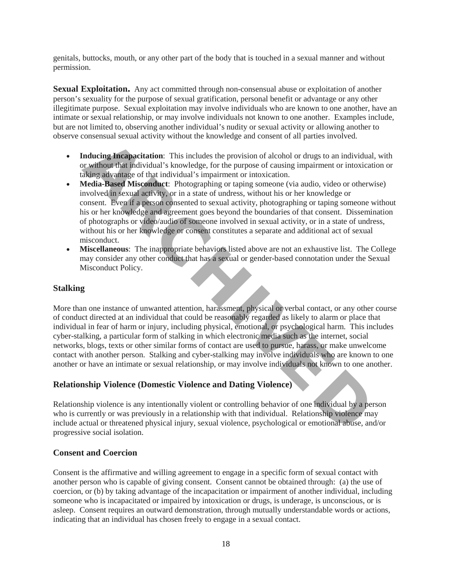genitals, buttocks, mouth, or any other part of the body that is touched in a sexual manner and without permission.

**Sexual Exploitation.** Any act committed through non-consensual abuse or exploitation of another person's sexuality for the purpose of sexual gratification, personal benefit or advantage or any other illegitimate purpose. Sexual exploitation may involve individuals who are known to one another, have an intimate or sexual relationship, or may involve individuals not known to one another. Examples include, but are not limited to, observing another individual's nudity or sexual activity or allowing another to observe consensual sexual activity without the knowledge and consent of all parties involved.

- **Inducing Incapacitation**: This includes the provision of alcohol or drugs to an individual, with or without that individual's knowledge, for the purpose of causing impairment or intoxication or taking advantage of that individual's impairment or intoxication.
- **Media-Based Misconduct**: Photographing or taping someone (via audio, video or otherwise) involved in sexual activity, or in a state of undress, without his or her knowledge or consent. Even if a person consented to sexual activity, photographing or taping someone without his or her knowledge and agreement goes beyond the boundaries of that consent. Dissemination of photographs or video/audio of someone involved in sexual activity, or in a state of undress, without his or her knowledge or consent constitutes a separate and additional act of sexual misconduct.
- **Miscellaneous**: The inappropriate behaviors listed above are not an exhaustive list. The College may consider any other conduct that has a sexual or gender-based connotation under the Sexual Misconduct Policy.

# **Stalking**

More than one instance of unwanted attention, harassment, physical or verbal contact, or any other course of conduct directed at an individual that could be reasonably regarded as likely to alarm or place that individual in fear of harm or injury, including physical, emotional, or psychological harm. This includes cyber-stalking, a particular form of stalking in which electronic media such as the internet, social networks, blogs, texts or other similar forms of contact are used to pursue, harass, or make unwelcome contact with another person. Stalking and cyber-stalking may involve individuals who are known to one another or have an intimate or sexual relationship, or may involve individuals not known to one another. **Inducing Interaparettation:** This includes the provision of alcohol or drugs to an individual<br>
Y without that individual's knowledge, for the purpose of causing impairment or intoxical<br>
MeVirang advantage of that individu

# **Relationship Violence (Domestic Violence and Dating Violence)**

Relationship violence is any intentionally violent or controlling behavior of one individual by a person who is currently or was previously in a relationship with that individual. Relationship violence may include actual or threatened physical injury, sexual violence, psychological or emotional abuse, and/or progressive social isolation.

# **Consent and Coercion**

Consent is the affirmative and willing agreement to engage in a specific form of sexual contact with another person who is capable of giving consent. Consent cannot be obtained through: (a) the use of coercion, or (b) by taking advantage of the incapacitation or impairment of another individual, including someone who is incapacitated or impaired by intoxication or drugs, is underage, is unconscious, or is asleep. Consent requires an outward demonstration, through mutually understandable words or actions, indicating that an individual has chosen freely to engage in a sexual contact.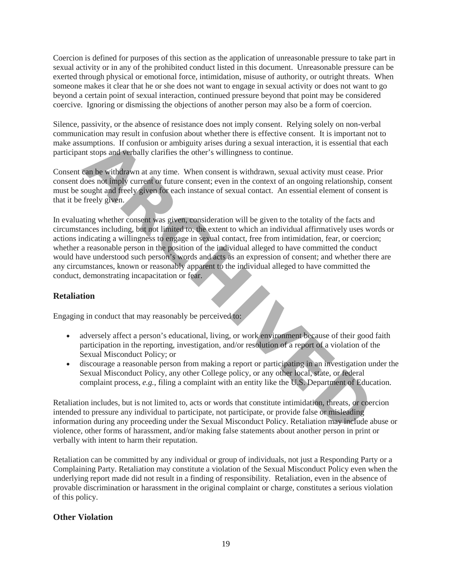Coercion is defined for purposes of this section as the application of unreasonable pressure to take part in sexual activity or in any of the prohibited conduct listed in this document. Unreasonable pressure can be exerted through physical or emotional force, intimidation, misuse of authority, or outright threats. When someone makes it clear that he or she does not want to engage in sexual activity or does not want to go beyond a certain point of sexual interaction, continued pressure beyond that point may be considered coercive. Ignoring or dismissing the objections of another person may also be a form of coercion.

Silence, passivity, or the absence of resistance does not imply consent. Relying solely on non-verbal communication may result in confusion about whether there is effective consent. It is important not to make assumptions. If confusion or ambiguity arises during a sexual interaction, it is essential that each participant stops and verbally clarifies the other's willingness to continue.

Consent can be withdrawn at any time. When consent is withdrawn, sexual activity must cease. Prior consent does not imply current or future consent; even in the context of an ongoing relationship, consent must be sought and freely given for each instance of sexual contact. An essential element of consent is that it be freely given.

In evaluating whether consent was given, consideration will be given to the totality of the facts and circumstances including, but not limited to, the extent to which an individual affirmatively uses words or actions indicating a willingness to engage in sexual contact, free from intimidation, fear, or coercion; whether a reasonable person in the position of the individual alleged to have committed the conduct would have understood such person's words and acts as an expression of consent; and whether there are any circumstances, known or reasonably apparent to the individual alleged to have committed the conduct, demonstrating incapacitation or fear. umptions. If confusion or ambiguity arises during a sexual interaction, it is essential that<br>the stops and verbally clarifies the other's willingness to continue.<br>
Cap box withdrawn at any time. When consent is withdrawn,

# **Retaliation**

Engaging in conduct that may reasonably be perceived to:

- adversely affect a person's educational, living, or work environment because of their good faith participation in the reporting, investigation, and/or resolution of a report of a violation of the Sexual Misconduct Policy; or
- discourage a reasonable person from making a report or participating in an investigation under the Sexual Misconduct Policy, any other College policy, or any other local, state, or federal complaint process, *e.g.*, filing a complaint with an entity like the U.S. Department of Education.

Retaliation includes, but is not limited to, acts or words that constitute intimidation, threats, or coercion intended to pressure any individual to participate, not participate, or provide false or misleading information during any proceeding under the Sexual Misconduct Policy. Retaliation may include abuse or violence, other forms of harassment, and/or making false statements about another person in print or verbally with intent to harm their reputation.

Retaliation can be committed by any individual or group of individuals, not just a Responding Party or a Complaining Party. Retaliation may constitute a violation of the Sexual Misconduct Policy even when the underlying report made did not result in a finding of responsibility. Retaliation, even in the absence of provable discrimination or harassment in the original complaint or charge, constitutes a serious violation of this policy.

# **Other Violation**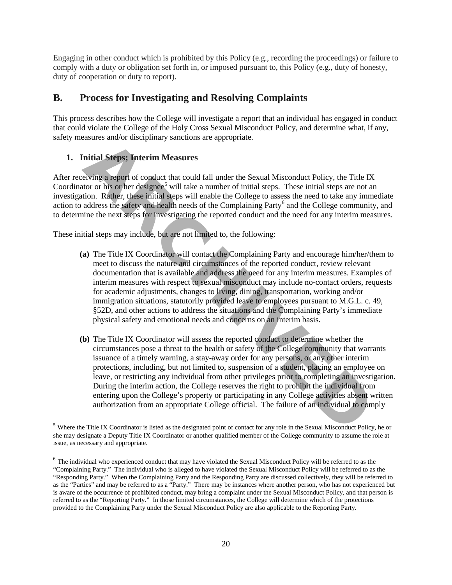Engaging in other conduct which is prohibited by this Policy (e.g., recording the proceedings) or failure to comply with a duty or obligation set forth in, or imposed pursuant to, this Policy (e.g., duty of honesty, duty of cooperation or duty to report).

# **B. Process for Investigating and Resolving Complaints**

This process describes how the College will investigate a report that an individual has engaged in conduct that could violate the College of the Holy Cross [Sexual Misconduct Policy,](http://www.holycross.edu/sexual-respect-and-title-ix/overview) and determine what, if any, safety measures and/or disciplinary sanctions are appropriate.

# **1. Initial Steps; Interim Measures**

l

After receiving a report of conduct that could fall under the Sexual Misconduct Policy, the Title IX Coordinator or his or her designee<sup>5</sup> will take a number of initial steps. These initial steps are not an investigation. Rather, these initial steps will enable the College to assess the need to take any immediate action to address the safety and health needs of the Complaining Party<sup>6</sup> and the College community, and to determine the next steps for investigating the reported conduct and the need for any interim measures.

These initial steps may include, but are not limited to, the following:

- **(a)** The Title IX Coordinator will contact the Complaining Party and encourage him/her/them to meet to discuss the nature and circumstances of the reported conduct, review relevant documentation that is available and address the need for any interim measures. Examples of interim measures with respect to sexual misconduct may include no-contact orders, requests for academic adjustments, changes to living, dining, transportation, working and/or immigration situations, statutorily provided leave to employees pursuant to M.G.L. c. 49, §52D, and other actions to address the situations and the Complaining Party's immediate physical safety and emotional needs and concerns on an interim basis. **Example 20**<br> **A[R](#page-19-0)CC**<br> **AC**<br> **AC**<br> **AC**<br> **AC**<br> **AC**<br> **AC**<br> **AC**<br> **AC**<br> **AC**<br> **AC**<br> **AC**<br> **AC**<br> **AC**<br> **AC**<br> **AC**<br> **AC**<br> **AC**<br> **AC**<br> **AC**<br> **AC**<br> **AC**<br> **AC**<br> **AC**<br> **AC**<br> **A**
- **(b)** The Title IX Coordinator will assess the reported conduct to determine whether the circumstances pose a threat to the health or safety of the College community that warrants issuance of a timely warning, a stay-away order for any persons, or any other interim protections, including, but not limited to, suspension of a student, placing an employee on leave, or restricting any individual from other privileges prior to completing an investigation. During the interim action, the College reserves the right to prohibit the individual from entering upon the College's property or participating in any College activities absent written authorization from an appropriate College official. The failure of an individual to comply

<span id="page-19-0"></span><sup>&</sup>lt;sup>5</sup> Where the Title IX Coordinator is listed as the designated point of contact for any role in the Sexual Misconduct Policy, he or she may designate a Deputy Title IX Coordinator or another qualified member of the College community to assume the role at issue, as necessary and appropriate.

<span id="page-19-1"></span> $6$  The individual who experienced conduct that may have violated the Sexual Misconduct Policy will be referred to as the "Complaining Party." The individual who is alleged to have violated the Sexual Misconduct Policy will be referred to as the "Responding Party." When the Complaining Party and the Responding Party are discussed collectively, they will be referred to as the "Parties" and may be referred to as a "Party." There may be instances where another person, who has not experienced but is aware of the occurrence of prohibited conduct, may bring a complaint under the Sexual Misconduct Policy, and that person is referred to as the "Reporting Party." In those limited circumstances, the College will determine which of the protections provided to the Complaining Party under the Sexual Misconduct Policy are also applicable to the Reporting Party.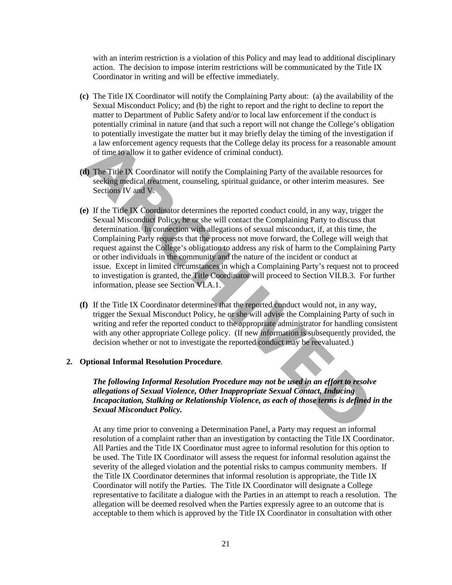with an interim restriction is a violation of this Policy and may lead to additional disciplinary action. The decision to impose interim restrictions will be communicated by the Title IX Coordinator in writing and will be effective immediately.

- **(c)** The Title IX Coordinator will notify the Complaining Party about: (a) the availability of the Sexual Misconduct Policy; and (b) the right to report and the right to decline to report the matter to Department of Public Safety and/or to local law enforcement if the conduct is potentially criminal in nature (and that such a report will not change the College's obligation to potentially investigate the matter but it may briefly delay the timing of the investigation if a law enforcement agency requests that the College delay its process for a reasonable amount of time to allow it to gather evidence of criminal conduct).
- **(d)** The Title IX Coordinator will notify the Complaining Party of the available resources for seeking medical treatment, counseling, spiritual guidance, or other interim measures. See Sections IV and V.
- **(e)** If the Title IX Coordinator determines the reported conduct could, in any way, trigger the Sexual Misconduct Policy, he or she will contact the Complaining Party to discuss that determination. In connection with allegations of sexual misconduct, if, at this time, the Complaining Party requests that the process not move forward, the College will weigh that request against the College's obligation to address any risk of harm to the Complaining Party or other individuals in the community and the nature of the incident or conduct at issue. Except in limited circumstances in which a Complaining Party's request not to proceed to investigation is granted, the Title Coordinator will proceed to Section VII.B.3. For further information, please see Section VI.A.1. a law enforcement agency requests that the College delay its process for a reasonable<br>of time to allow it to gather evidence of criminal conduct).<br> **ADM**<br> **ARCHIVEDON**<br> **ARCHIVEDON**<br> **ARCHIVEDON**<br> **ARCHIVEDON**<br> **ARCHIVED**<br>
- **(f)** If the Title IX Coordinator determines that the reported conduct would not, in any way, trigger the Sexual Misconduct Policy, he or she will advise the Complaining Party of such in writing and refer the reported conduct to the appropriate administrator for handling consistent with any other appropriate College policy. (If new information is subsequently provided, the decision whether or not to investigate the reported conduct may be reevaluated.)

#### **2. Optional Informal Resolution Procedure**.

*The following Informal Resolution Procedure may not be used in an effort to resolve allegations of Sexual Violence, Other Inappropriate Sexual Contact, Inducing Incapacitation, Stalking or Relationship Violence, as each of those terms is defined in the Sexual Misconduct Policy.*

At any time prior to convening a Determination Panel, a Party may request an informal resolution of a complaint rather than an investigation by contacting the Title IX Coordinator. All Parties and the Title IX Coordinator must agree to informal resolution for this option to be used. The Title IX Coordinator will assess the request for informal resolution against the severity of the alleged violation and the potential risks to campus community members. If the Title IX Coordinator determines that informal resolution is appropriate, the Title IX Coordinator will notify the Parties. The Title IX Coordinator will designate a College representative to facilitate a dialogue with the Parties in an attempt to reach a resolution. The allegation will be deemed resolved when the Parties expressly agree to an outcome that is acceptable to them which is approved by the Title IX Coordinator in consultation with other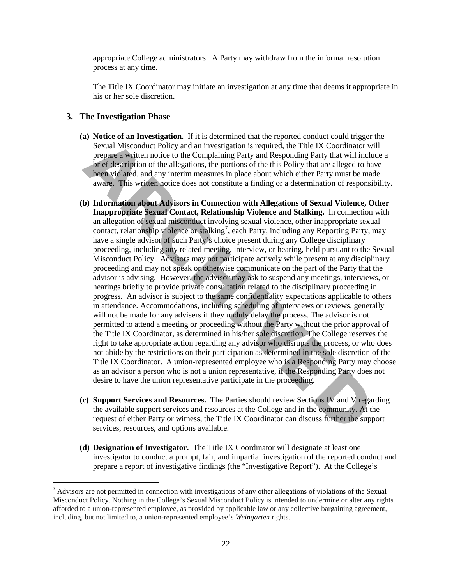appropriate College administrators. A Party may withdraw from the informal resolution process at any time.

The Title IX Coordinator may initiate an investigation at any time that deems it appropriate in his or her sole discretion.

#### **3. The Investigation Phase**

 $\overline{\phantom{a}}$ 

- **(a) Notice of an Investigation.** If it is determined that the reported conduct could trigger the Sexual Misconduct Policy and an investigation is required, the Title IX Coordinator will prepare a written notice to the Complaining Party and Responding Party that will include a brief description of the allegations, the portions of the this Policy that are alleged to have been violated, and any interim measures in place about which either Party must be made aware. This written notice does not constitute a finding or a determination of responsibility.
- **(b) Information about Advisors in Connection with Allegations of Sexual Violence, Other Inappropriate Sexual Contact, Relationship Violence and Stalking.** In connection with an allegation of sexual misconduct involving sexual violence, other inappropriate sexual contact, relationship violence or stalking<sup>7</sup>, each Party, including any Reporting Party, may have a single advisor of such Party's choice present during any College disciplinary proceeding, including any related meeting, interview, or hearing, held pursuant to the Sexual Misconduct Policy. Advisors may not participate actively while present at any disciplinary proceeding and may not speak or otherwise communicate on the part of the Party that the advisor is advising. However, the advisor may ask to suspend any meetings, interviews, or hearings briefly to provide private consultation related to the disciplinary proceeding in progress. An advisor is subject to the same confidentiality expectations applicable to others in attendance. Accommodations, including scheduling of interviews or reviews, generally will not be made for any advisers if they unduly delay the process. The advisor is not permitted to attend a meeting or proceeding without the Party without the prior approval of the Title IX Coordinator, as determined in his/her sole discretion. The College reserves the right to take appropriate action regarding any advisor who disrupts the process, or who does not abide by the restrictions on their participation as determined in the sole discretion of the Title IX Coordinator. A union-represented employee who is a Responding Party may choose as an advisor a person who is not a union representative, if the Responding Party does not desire to have the union representative participate in the proceeding. Social Misconduct Policy and an investigation is required, the Title IX Coordinator prepare a witten notice to the Complision is required, the Title IX Coordinator prepare a witten notice to the Complision is required, the
- **(c) Support Services and Resources.** The Parties should review Sections IV and V regarding the available support services and resources at the College and in the community. At the request of either Party or witness, the Title IX Coordinator can discuss further the support services, resources, and options available.
- **(d) Designation of Investigator.** The Title IX Coordinator will designate at least one investigator to conduct a prompt, fair, and impartial investigation of the reported conduct and prepare a report of investigative findings (the "Investigative Report"). At the College's

<span id="page-21-0"></span><sup>&</sup>lt;sup>7</sup> Advisors are not permitted in connection with investigations of any other allegations of violations of the Sexual Misconduct Policy. Nothing in the College's Sexual Misconduct Policy is intended to undermine or alter any rights afforded to a union-represented employee, as provided by applicable law or any collective bargaining agreement, including, but not limited to, a union-represented employee's *Weingarten* rights.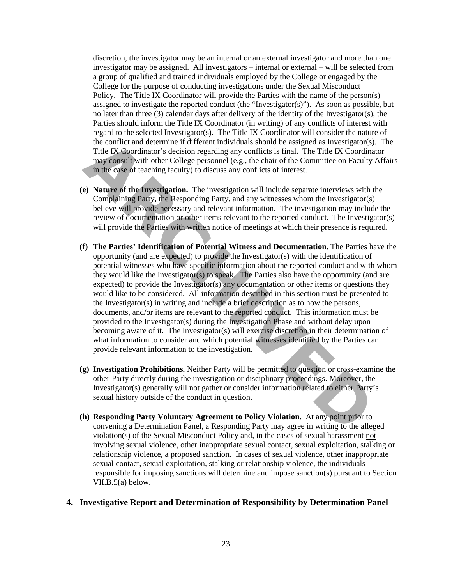discretion, the investigator may be an internal or an external investigator and more than one investigator may be assigned. All investigators – internal or external – will be selected from a group of qualified and trained individuals employed by the College or engaged by the College for the purpose of conducting investigations under the Sexual Misconduct Policy. The Title IX Coordinator will provide the Parties with the name of the person(s) assigned to investigate the reported conduct (the "Investigator(s)"). As soon as possible, but no later than three (3) calendar days after delivery of the identity of the Investigator(s), the Parties should inform the Title IX Coordinator (in writing) of any conflicts of interest with regard to the selected Investigator(s). The Title IX Coordinator will consider the nature of the conflict and determine if different individuals should be assigned as Investigator(s). The Title IX Coordinator's decision regarding any conflicts is final. The Title IX Coordinator may consult with other College personnel (e.g., the chair of the Committee on Faculty Affairs in the case of teaching faculty) to discuss any conflicts of interest.

- **(e) Nature of the Investigation.** The investigation will include separate interviews with the Complaining Party, the Responding Party, and any witnesses whom the Investigator(s) believe will provide necessary and relevant information. The investigation may include the review of documentation or other items relevant to the reported conduct. The Investigator(s) will provide the Parties with written notice of meetings at which their presence is required.
- **(f) The Parties' Identification of Potential Witness and Documentation.** The Parties have the opportunity (and are expected) to provide the Investigator(s) with the identification of potential witnesses who have specific information about the reported conduct and with whom they would like the Investigator(s) to speak. The Parties also have the opportunity (and are expected) to provide the Investigator(s) any documentation or other items or questions they would like to be considered. All information described in this section must be presented to the Investigator(s) in writing and include a brief description as to how the persons, documents, and/or items are relevant to the reported conduct. This information must be provided to the Investigator(s) during the Investigation Phase and without delay upon becoming aware of it. The Investigator(s) will exercise discretion in their determination of what information to consider and which potential witnesses identified by the Parties can provide relevant information to the investigation. the conflict and determine if different individuals should be assigned as Investigator<br>
Title IX Coordinator's decision regarding any conflicts is final. The Title IX Coordinal<br>
may emsult with other College personnel (e.g
- **(g) Investigation Prohibitions.** Neither Party will be permitted to question or cross-examine the other Party directly during the investigation or disciplinary proceedings. Moreover, the Investigator(s) generally will not gather or consider information related to either Party's sexual history outside of the conduct in question.
- **(h) Responding Party Voluntary Agreement to Policy Violation.** At any point prior to convening a Determination Panel, a Responding Party may agree in writing to the alleged violation(s) of the Sexual Misconduct Policy and, in the cases of sexual harassment not involving sexual violence, other inappropriate sexual contact, sexual exploitation, stalking or relationship violence, a proposed sanction. In cases of sexual violence, other inappropriate sexual contact, sexual exploitation, stalking or relationship violence, the individuals responsible for imposing sanctions will determine and impose sanction(s) pursuant to Section VII.B.5(a) below.

#### **4. Investigative Report and Determination of Responsibility by Determination Panel**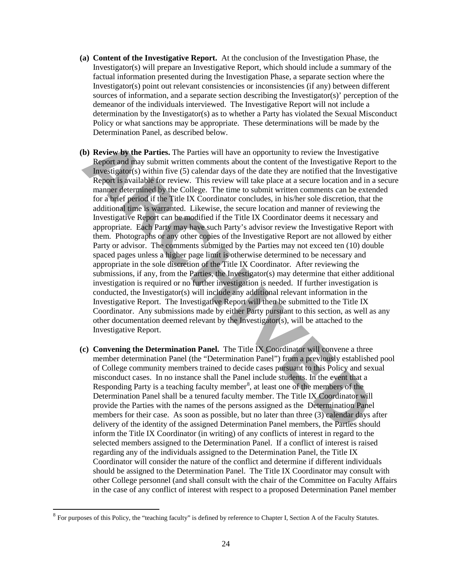- **(a) Content of the Investigative Report.** At the conclusion of the Investigation Phase, the Investigator(s) will prepare an Investigative Report, which should include a summary of the factual information presented during the Investigation Phase, a separate section where the Investigator(s) point out relevant consistencies or inconsistencies (if any) between different sources of information, and a separate section describing the Investigator(s)' perception of the demeanor of the individuals interviewed. The Investigative Report will not include a determination by the Investigator(s) as to whether a Party has violated the Sexual Misconduct Policy or what sanctions may be appropriate. These determinations will be made by the Determination Panel, as described below.
- **(b) Review by the Parties.** The Parties will have an opportunity to review the Investigative Report and may submit written comments about the content of the Investigative Report to the Investigator(s) within five (5) calendar days of the date they are notified that the Investigative Report is available for review. This review will take place at a secure location and in a secure manner determined by the College. The time to submit written comments can be extended for a brief period if the Title IX Coordinator concludes, in his/her sole discretion, that the additional time is warranted. Likewise, the secure location and manner of reviewing the Investigative Report can be modified if the Title IX Coordinator deems it necessary and appropriate. Each Party may have such Party's advisor review the Investigative Report with them. Photographs or any other copies of the Investigative Report are not allowed by either Party or advisor. The comments submitted by the Parties may not exceed ten (10) double spaced pages unless a higher page limit is otherwise determined to be necessary and appropriate in the sole discretion of the Title IX Coordinator. After reviewing the submissions, if any, from the Parties, the Investigator(s) may determine that either additional investigation is required or no further investigation is needed. If further investigation is conducted, the Investigator(s) will include any additional relevant information in the Investigative Report. The Investigative Report will then be submitted to the Title IX Coordinator. Any submissions made by either Party pursuant to this section, as well as any other documentation deemed relevant by the Investigator(s), will be attached to the Investigative Report. **b) Review by the Parties.** The Parties will have an opportunity to review the Investigative Report and may submit written comments about the content of the Investigative Report The Schib in five (5) called are we are prov
- **(c) Convening the Determination Panel.** The Title IX Coordinator will convene a three member determination Panel (the "Determination Panel") from a previously established pool of College community members trained to decide cases pursuant to this Policy and sexual misconduct cases. In no instance shall the Panel include students. In the event that a Responding Party is a teaching faculty member<sup>8</sup>, at least one of the members of the Determination Panel shall be a tenured faculty member. The Title IX Coordinator will provide the Parties with the names of the persons assigned as the Determination Panel members for their case. As soon as possible, but no later than three (3) calendar days after delivery of the identity of the assigned Determination Panel members, the Parties should inform the Title IX Coordinator (in writing) of any conflicts of interest in regard to the selected members assigned to the Determination Panel. If a conflict of interest is raised regarding any of the individuals assigned to the Determination Panel, the Title IX Coordinator will consider the nature of the conflict and determine if different individuals should be assigned to the Determination Panel. The Title IX Coordinator may consult with other College personnel (and shall consult with the chair of the Committee on Faculty Affairs in the case of any conflict of interest with respect to a proposed Determination Panel member

l

<span id="page-23-0"></span> $8$  For purposes of this Policy, the "teaching faculty" is defined by reference to Chapter I, Section A of the Faculty Statutes.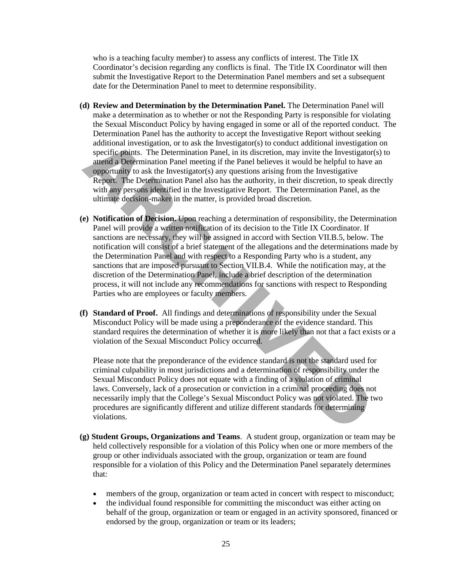who is a teaching faculty member) to assess any conflicts of interest. The Title IX Coordinator's decision regarding any conflicts is final. The Title IX Coordinator will then submit the Investigative Report to the Determination Panel members and set a subsequent date for the Determination Panel to meet to determine responsibility.

- **(d) Review and Determination by the Determination Panel.** The Determination Panel will make a determination as to whether or not the Responding Party is responsible for violating the Sexual Misconduct Policy by having engaged in some or all of the reported conduct. The Determination Panel has the authority to accept the Investigative Report without seeking additional investigation, or to ask the Investigator(s) to conduct additional investigation on specific points. The Determination Panel, in its discretion, may invite the Investigator(s) to attend a Determination Panel meeting if the Panel believes it would be helpful to have an opportunity to ask the Investigator(s) any questions arising from the Investigative Report. The Determination Panel also has the authority, in their discretion, to speak directly with any persons identified in the Investigative Report. The Determination Panel, as the ultimate decision-maker in the matter, is provided broad discretion.
- **(e) Notification of Decision.** Upon reaching a determination of responsibility, the Determination Panel will provide a written notification of its decision to the Title IX Coordinator. If sanctions are necessary, they will be assigned in accord with Section VII.B.5, below. The notification will consist of a brief statement of the allegations and the determinations made by the Determination Panel and with respect to a Responding Party who is a student, any sanctions that are imposed pursuant to Section VII.B.4. While the notification may, at the discretion of the Determination Panel, include a brief description of the determination process, it will not include any recommendations for sanctions with respect to Responding Parties who are employees or faculty members. additional investigation, or to ask the Investigator(s) to conduct additional investigation<br>since a step contribution Panel, in its discretion, may invite the Investigation<br>atiend a Determination Panel metalling if the Pan
- **(f) Standard of Proof.** All findings and determinations of responsibility under the Sexual Misconduct Policy will be made using a preponderance of the evidence standard. This standard requires the determination of whether it is more likely than not that a fact exists or a violation of the Sexual Misconduct Policy occurred.

Please note that the preponderance of the evidence standard is not the standard used for criminal culpability in most jurisdictions and a determination of responsibility under the Sexual Misconduct Policy does not equate with a finding of a violation of criminal laws. Conversely, lack of a prosecution or conviction in a criminal proceeding does not necessarily imply that the College's Sexual Misconduct Policy was not violated. The two procedures are significantly different and utilize different standards for determining violations.

- **(g) Student Groups, Organizations and Teams**. A student group, organization or team may be held collectively responsible for a violation of this Policy when one or more members of the group or other individuals associated with the group, organization or team are found responsible for a violation of this Policy and the Determination Panel separately determines that:
	- members of the group, organization or team acted in concert with respect to misconduct;
	- the individual found responsible for committing the misconduct was either acting on behalf of the group, organization or team or engaged in an activity sponsored, financed or endorsed by the group, organization or team or its leaders;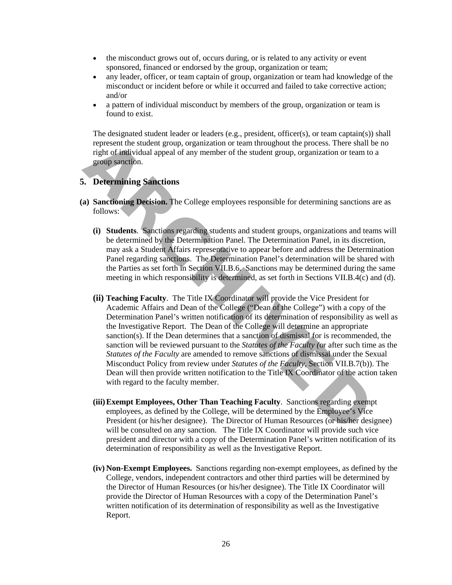- the misconduct grows out of, occurs during, or is related to any activity or event sponsored, financed or endorsed by the group, organization or team;
- any leader, officer, or team captain of group, organization or team had knowledge of the misconduct or incident before or while it occurred and failed to take corrective action; and/or
- a pattern of individual misconduct by members of the group, organization or team is found to exist.

The designated student leader or leaders (e.g., president, officer(s), or team captain(s)) shall represent the student group, organization or team throughout the process. There shall be no right of individual appeal of any member of the student group, organization or team to a group sanction.

### **5. Determining Sanctions**

- **(a) Sanctioning Decision.** The College employees responsible for determining sanctions are as follows:
	- **(i) Students**. Sanctions regarding students and student groups, organizations and teams will be determined by the Determination Panel. The Determination Panel, in its discretion, may ask a Student Affairs representative to appear before and address the Determination Panel regarding sanctions. The Determination Panel's determination will be shared with the Parties as set forth in Section VII.B.6. Sanctions may be determined during the same meeting in which responsibility is determined, as set forth in Sections VII.B.4(c) and (d).
- **(ii) Teaching Faculty**. The Title IX Coordinator will provide the Vice President for Academic Affairs and Dean of the College ("Dean of the College") with a copy of the Determination Panel's written notification of its determination of responsibility as well as the Investigative Report. The Dean of the College will determine an appropriate sanction(s). If the Dean determines that a sanction of dismissal for is recommended, the sanction will be reviewed pursuant to the *Statutes of the Faculty (*or after such time as the *Statutes of the Faculty* are amended to remove sanctions of dismissal under the Sexual Misconduct Policy from review under *Statutes of the Faculty*, Section VII.B.7(b)). The Dean will then provide written notification to the Title IX Coordinator of the action taken with regard to the faculty member. represent the student group, organization or team throughout the process. There shall<br>right of individual appeal of any member of the student group, organization or team to<br>group Sanctions<br>and four group Sanctions<br>**APCONET** 
	- **(iii) Exempt Employees, Other Than Teaching Faculty**. Sanctions regarding exempt employees, as defined by the College, will be determined by the Employee's Vice President (or his/her designee). The Director of Human Resources (or his/her designee) will be consulted on any sanction. The Title IX Coordinator will provide such vice president and director with a copy of the Determination Panel's written notification of its determination of responsibility as well as the Investigative Report.
	- **(iv) Non-Exempt Employees.** Sanctions regarding non-exempt employees, as defined by the College, vendors, independent contractors and other third parties will be determined by the Director of Human Resources (or his/her designee). The Title IX Coordinator will provide the Director of Human Resources with a copy of the Determination Panel's written notification of its determination of responsibility as well as the Investigative Report.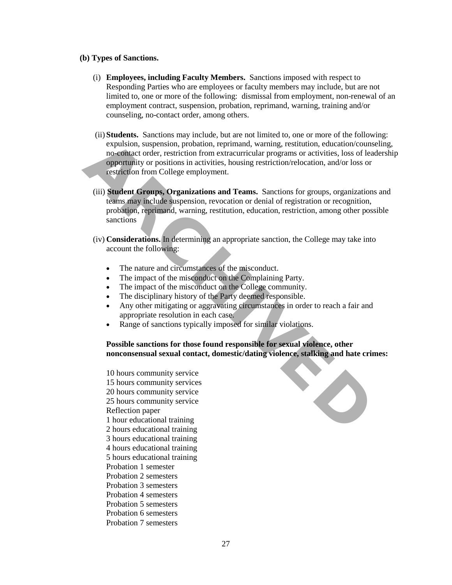#### **(b) Types of Sanctions.**

- (i) **Employees, including Faculty Members.** Sanctions imposed with respect to Responding Parties who are employees or faculty members may include, but are not limited to, one or more of the following: dismissal from employment, non-renewal of an employment contract, suspension, probation, reprimand, warning, training and/or counseling, no-contact order, among others.
- (ii) **Students.** Sanctions may include, but are not limited to, one or more of the following: expulsion, suspension, probation, reprimand, warning, restitution, education/counseling, no-contact order, restriction from extracurricular programs or activities, loss of leadership opportunity or positions in activities, housing restriction/relocation, and/or loss or restriction from College employment. **Explasion, suspension, probation, reprimand, warning, restitution, education/couno-conductordre, restriction from extracturical programs or activities, loos of leading to propertunity or positions in activities, housing r** 
	- (iii) **Student Groups, Organizations and Teams.** Sanctions for groups, organizations and teams may include suspension, revocation or denial of registration or recognition, probation, reprimand, warning, restitution, education, restriction, among other possible sanctions
	- (iv) **Considerations.** In determining an appropriate sanction, the College may take into account the following:
		- The nature and circumstances of the misconduct.
		- The impact of the misconduct on the Complaining Party.
		- The impact of the misconduct on the College community.
		- The disciplinary history of the Party deemed responsible.
		- Any other mitigating or aggravating circumstances in order to reach a fair and appropriate resolution in each case.
		- Range of sanctions typically imposed for similar violations.

### **Possible sanctions for those found responsible for sexual violence, other nonconsensual sexual contact, domestic/dating violence, stalking and hate crimes:**

10 hours community service 15 hours community services 20 hours community service 25 hours community service Reflection paper 1 hour educational training 2 hours educational training 3 hours educational training 4 hours educational training 5 hours educational training Probation 1 semester Probation 2 semesters Probation 3 semesters Probation 4 semesters Probation 5 semesters Probation 6 semesters Probation 7 semesters

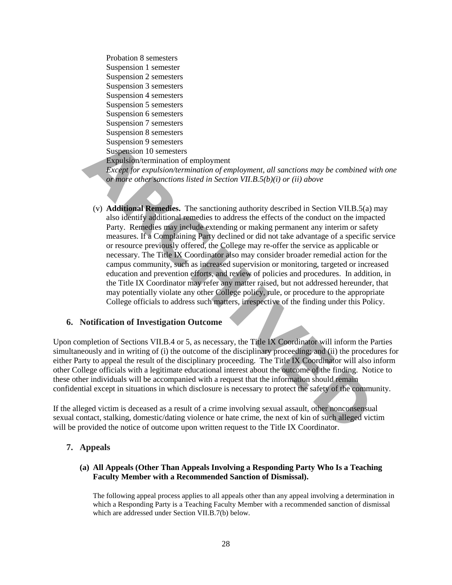Probation 8 semesters Suspension 1 semester Suspension 2 semesters Suspension 3 semesters Suspension 4 semesters Suspension 5 semesters Suspension 6 semesters Suspension 7 semesters Suspension 8 semesters Suspension 9 semesters Suspension 10 semesters Expulsion/termination of employment *Except for expulsion/termination of employment, all sanctions may be combined with one or more other sanctions listed in Section VII.B.5(b)(i) or (ii) above* 

(v) **Additional Remedies.** The sanctioning authority described in Section VII.B.5(a) may also identify additional remedies to address the effects of the conduct on the impacted Party. Remedies may include extending or making permanent any interim or safety measures. If a Complaining Party declined or did not take advantage of a specific service or resource previously offered, the College may re-offer the service as applicable or necessary. The Title IX Coordinator also may consider broader remedial action for the campus community, such as increased supervision or monitoring, targeted or increased education and prevention efforts, and review of policies and procedures. In addition, in the Title IX Coordinator may refer any matter raised, but not addressed hereunder, that may potentially violate any other College policy, rule, or procedure to the appropriate College officials to address such matters, irrespective of the finding under this Policy. Suspension 9 semesters<br>
Suspension 10 semesters<br>
Expension 10 semesters<br>
Expension 10 semesters<br>
Expension/termination of employment. all sanctions may be combined<br>
or more other semetions listed in Section VII.B.5(b)(i) o

#### **6. Notification of Investigation Outcome**

Upon completion of Sections VII.B.4 or 5, as necessary, the Title IX Coordinator will inform the Parties simultaneously and in writing of (i) the outcome of the disciplinary proceeding; and (ii) the procedures for either Party to appeal the result of the disciplinary proceeding. The Title IX Coordinator will also inform other College officials with a legitimate educational interest about the outcome of the finding. Notice to these other individuals will be accompanied with a request that the information should remain confidential except in situations in which disclosure is necessary to protect the safety of the community.

If the alleged victim is deceased as a result of a crime involving sexual assault, other nonconsensual sexual contact, stalking, domestic/dating violence or hate crime, the next of kin of such alleged victim will be provided the notice of outcome upon written request to the Title IX Coordinator.

# **7. Appeals**

#### **(a) All Appeals (Other Than Appeals Involving a Responding Party Who Is a Teaching Faculty Member with a Recommended Sanction of Dismissal).**

The following appeal process applies to all appeals other than any appeal involving a determination in which a Responding Party is a Teaching Faculty Member with a recommended sanction of dismissal which are addressed under Section VII.B.7(b) below.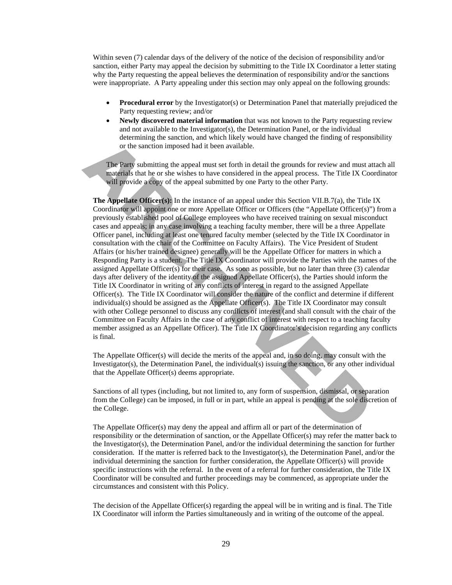Within seven (7) calendar days of the delivery of the notice of the decision of responsibility and/or sanction, either Party may appeal the decision by submitting to the Title IX Coordinator a letter stating why the Party requesting the appeal believes the determination of responsibility and/or the sanctions were inappropriate. A Party appealing under this section may only appeal on the following grounds:

- **Procedural error** by the Investigator(s) or Determination Panel that materially prejudiced the Party requesting review; and/or
- **Newly discovered material information** that was not known to the Party requesting review and not available to the Investigator(s), the Determination Panel, or the individual determining the sanction, and which likely would have changed the finding of responsibility or the sanction imposed had it been available.

The Party submitting the appeal must set forth in detail the grounds for review and must attach all materials that he or she wishes to have considered in the appeal process. The Title IX Coordinator will provide a copy of the appeal submitted by one Party to the other Party.

**The Appellate Officer(s):** In the instance of an appeal under this Section VII.B.7(a), the Title IX Coordinator will appoint one or more Appellate Officer or Officers (the "Appellate Officer(s)") from a previously established pool of College employees who have received training on sexual misconduct cases and appeals; in any case involving a teaching faculty member, there will be a three Appellate Officer panel, including at least one tenured faculty member (selected by the Title IX Coordinator in consultation with the chair of the Committee on Faculty Affairs). The Vice President of Student Affairs (or his/her trained designee) generally will be the Appellate Officer for matters in which a Responding Party is a student. The Title IX Coordinator will provide the Parties with the names of the assigned Appellate Officer(s) for their case. As soon as possible, but no later than three (3) calendar days after delivery of the identity of the assigned Appellate Officer(s), the Parties should inform the Title IX Coordinator in writing of any conflicts of interest in regard to the assigned Appellate Officer(s). The Title IX Coordinator will consider the nature of the conflict and determine if different individual(s) should be assigned as the Appellate Officer(s). The Title IX Coordinator may consult with other College personnel to discuss any conflicts of interest (and shall consult with the chair of the Committee on Faculty Affairs in the case of any conflict of interest with respect to a teaching faculty member assigned as an Appellate Officer). The Title IX Coordinator's decision regarding any conflicts is final. or the sanction impact state of the nation and the product of the sanction imposed had it been available.<br>
The Party submitting the appeal must set forth in detail the grounds for review and must a materials that he or she

The Appellate Officer(s) will decide the merits of the appeal and, in so doing, may consult with the Investigator(s), the Determination Panel, the individual(s) issuing the sanction, or any other individual that the Appellate Officer(s) deems appropriate.

Sanctions of all types (including, but not limited to, any form of suspension, dismissal, or separation from the College) can be imposed, in full or in part, while an appeal is pending at the sole discretion of the College.

The Appellate Officer(s) may deny the appeal and affirm all or part of the determination of responsibility or the determination of sanction, or the Appellate Officer(s) may refer the matter back to the Investigator(s), the Determination Panel, and/or the individual determining the sanction for further consideration. If the matter is referred back to the Investigator(s), the Determination Panel, and/or the individual determining the sanction for further consideration, the Appellate Officer(s) will provide specific instructions with the referral. In the event of a referral for further consideration, the Title IX Coordinator will be consulted and further proceedings may be commenced, as appropriate under the circumstances and consistent with this Policy.

The decision of the Appellate Officer(s) regarding the appeal will be in writing and is final. The Title IX Coordinator will inform the Parties simultaneously and in writing of the outcome of the appeal.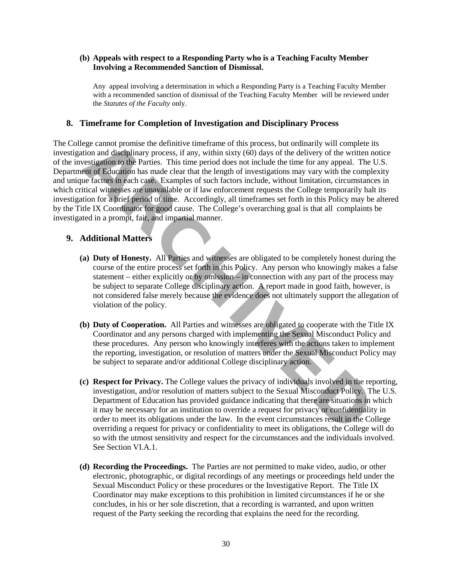#### **(b) Appeals with respect to a Responding Party who is a Teaching Faculty Member Involving a Recommended Sanction of Dismissal.**

Any appeal involving a determination in which a Responding Party is a Teaching Faculty Member with a recommended sanction of dismissal of the Teaching Faculty Member will be reviewed under the *Statutes of the Faculty* only.

### **8. Timeframe for Completion of Investigation and Disciplinary Process**

The College cannot promise the definitive timeframe of this process, but ordinarily will complete its investigation and disciplinary process, if any, within sixty (60) days of the delivery of the written notice of the investigation to the Parties. This time period does not include the time for any appeal. The U.S. Department of Education has made clear that the length of investigations may vary with the complexity and unique factors in each case. Examples of such factors include, without limitation, circumstances in which critical witnesses are unavailable or if law enforcement requests the College temporarily halt its investigation for a brief period of time. Accordingly, all timeframes set forth in this Policy may be altered by the Title IX Coordinator for good cause. The College's overarching goal is that all complaints be investigated in a prompt, fair, and impartial manner. ege cannot promise the definitive timeframe of this process, but ordinarily will complete<br>tion and disciplinary process, if any, within sixty (60) days of the delivery of the witten<br>testigation to the Parties. This time pe

# **9. Additional Matters**

- **(a) Duty of Honesty.** All Parties and witnesses are obligated to be completely honest during the course of the entire process set forth in this Policy. Any person who knowingly makes a false statement – either explicitly or by omission – in connection with any part of the process may be subject to separate College disciplinary action. A report made in good faith, however, is not considered false merely because the evidence does not ultimately support the allegation of violation of the policy.
- **(b) Duty of Cooperation.** All Parties and witnesses are obligated to cooperate with the Title IX Coordinator and any persons charged with implementing the Sexual Misconduct Policy and these procedures. Any person who knowingly interferes with the actions taken to implement the reporting, investigation, or resolution of matters under the Sexual Misconduct Policy may be subject to separate and/or additional College disciplinary action.
- **(c) Respect for Privacy.** The College values the privacy of individuals involved in the reporting, investigation, and/or resolution of matters subject to the Sexual Misconduct Policy. The U.S. Department of Education has provided guidance indicating that there are situations in which it may be necessary for an institution to override a request for privacy or confidentiality in order to meet its obligations under the law. In the event circumstances result in the College overriding a request for privacy or confidentiality to meet its obligations, the College will do so with the utmost sensitivity and respect for the circumstances and the individuals involved. See Section VI.A.1.
- **(d) Recording the Proceedings.** The Parties are not permitted to make video, audio, or other electronic, photographic, or digital recordings of any meetings or proceedings held under the Sexual Misconduct Policy or these procedures or the Investigative Report. The Title IX Coordinator may make exceptions to this prohibition in limited circumstances if he or she concludes, in his or her sole discretion, that a recording is warranted, and upon written request of the Party seeking the recording that explains the need for the recording.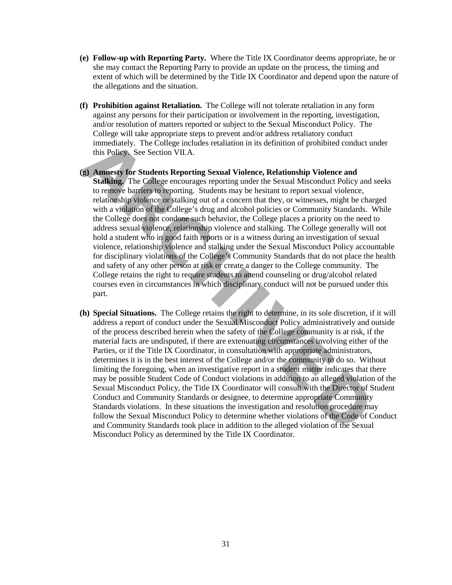- **(e) Follow-up with Reporting Party.** Where the Title IX Coordinator deems appropriate, he or she may contact the Reporting Party to provide an update on the process, the timing and extent of which will be determined by the Title IX Coordinator and depend upon the nature of the allegations and the situation.
- **(f) Prohibition against Retaliation.** The College will not tolerate retaliation in any form against any persons for their participation or involvement in the reporting, investigation, and/or resolution of matters reported or subject to the Sexual Misconduct Policy. The College will take appropriate steps to prevent and/or address retaliatory conduct immediately. The College includes retaliation in its definition of prohibited conduct under this Policy. See Section VII.A.
- **(g) Amnesty for Students Reporting Sexual Violence, Relationship Violence and Stalking.** The College encourages reporting under the Sexual Misconduct Policy and seeks to remove barriers to reporting. Students may be hesitant to report sexual violence, relationship violence or stalking out of a concern that they, or witnesses, might be charged with a violation of the College's drug and alcohol policies or Community Standards. While the College does not condone such behavior, the College places a priority on the need to address sexual violence, relationship violence and stalking. The College generally will not hold a student who in good faith reports or is a witness during an investigation of sexual violence, relationship violence and stalking under the Sexual Misconduct Policy accountable for disciplinary violations of the College's Community Standards that do not place the health and safety of any other person at risk or create a danger to the College community. The College retains the right to require students to attend counseling or drug/alcohol related courses even in circumstances in which disciplinary conduct will not be pursued under this part. immediately. The College includes retaliation in its definition of prohibited conduct this Policy. See Section VII.A.<br> **A Amnesty for Students Reporting Sexual Violence, Relationship Violence and<br>
A <b>Ameetiy** for Students
- **(h) Special Situations.** The College retains the right to determine, in its sole discretion, if it will address a report of conduct under the Sexual Misconduct Policy administratively and outside of the process described herein when the safety of the College community is at risk, if the material facts are undisputed, if there are extenuating circumstances involving either of the Parties, or if the Title IX Coordinator, in consultation with appropriate administrators, determines it is in the best interest of the College and/or the community to do so. Without limiting the foregoing, when an investigative report in a student matter indicates that there may be possible Student Code of Conduct violations in addition to an alleged violation of the Sexual Misconduct Policy, the Title IX Coordinator will consult with the Director of Student Conduct and Community Standards or designee, to determine appropriate Community Standards violations. In these situations the investigation and resolution procedure may follow the Sexual Misconduct Policy to determine whether violations of the Code of Conduct and Community Standards took place in addition to the alleged violation of the Sexual Misconduct Policy as determined by the Title IX Coordinator.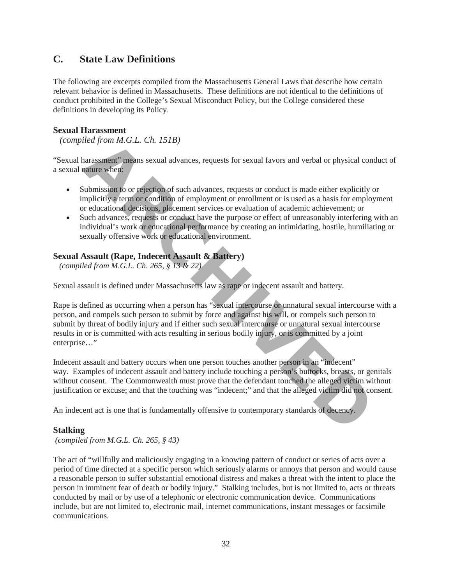# **C. State Law Definitions**

The following are excerpts compiled from the Massachusetts General Laws that describe how certain relevant behavior is defined in Massachusetts. These definitions are not identical to the definitions of conduct prohibited in the College's Sexual Misconduct Policy, but the College considered these definitions in developing its Policy.

# **Sexual Harassment**

 *(compiled from M.G.L. Ch. 151B)*

"Sexual harassment" means sexual advances, requests for sexual favors and verbal or physical conduct of a sexual nature when:

- Submission to or rejection of such advances, requests or conduct is made either explicitly or implicitly a term or condition of employment or enrollment or is used as a basis for employment or educational decisions, placement services or evaluation of academic achievement; or
- Such advances, requests or conduct have the purpose or effect of unreasonably interfering with an individual's work or educational performance by creating an intimidating, hostile, humiliating or sexually offensive work or educational environment.

# **Sexual Assault (Rape, Indecent Assault & Battery)**

 *(compiled from M.G.L. Ch. 265, § 13 & 22)*

Sexual assault is defined under Massachusetts law as rape or indecent assault and battery.

Rape is defined as occurring when a person has "sexual intercourse or unnatural sexual intercourse with a person, and compels such person to submit by force and against his will, or compels such person to submit by threat of bodily injury and if either such sexual intercourse or unnatural sexual intercourse results in or is committed with acts resulting in serious bodily injury, or is committed by a joint enterprise…" deal from M.G.L. Ch. 151B)<br>harassment<sup>9</sup> means sexual advances, requests for sexual favors and verbal or physical contains<br>a parameter when<br>submission to or rejection of such advances, requests or conduct is made either ex

Indecent assault and battery occurs when one person touches another person in an "indecent" way. Examples of indecent assault and battery include touching a person's buttocks, breasts, or genitals without consent. The Commonwealth must prove that the defendant touched the alleged victim without justification or excuse; and that the touching was "indecent;" and that the alleged victim did not consent.

An indecent act is one that is fundamentally offensive to contemporary standards of decency.

#### **Stalking**

 *(compiled from M.G.L. Ch. 265, § 43)*

The act of "willfully and maliciously engaging in a knowing pattern of conduct or series of acts over a period of time directed at a specific person which seriously alarms or annoys that person and would cause a reasonable person to suffer substantial emotional distress and makes a threat with the intent to place the person in imminent fear of death or bodily injury." Stalking includes, but is not limited to, acts or threats conducted by mail or by use of a telephonic or electronic communication device. Communications include, but are not limited to, electronic mail, internet communications, instant messages or facsimile communications.